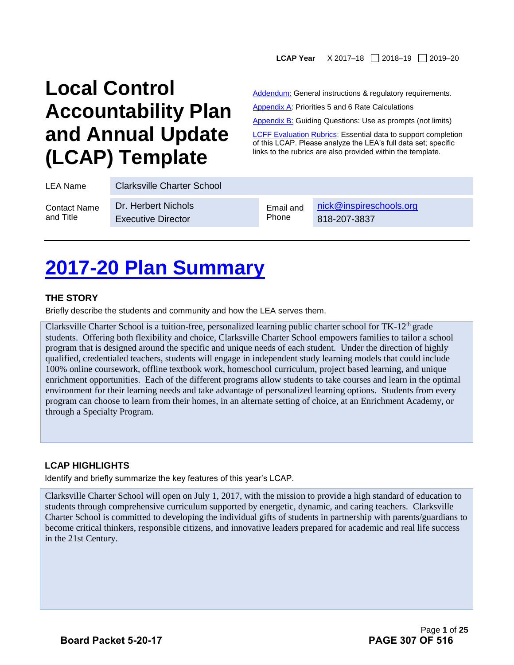#### LCAP Year X 2017-18 2018-19 2019-20

## **Local Control Accountability Plan and Annual Update (LCAP) Template**

Addendum: General instructions & regulatory requirements.

Appendix A: Priorities 5 and 6 Rate Calculations

Appendix B: Guiding Questions: Use as prompts (not limits)

**[LCFF Evaluation Rubrics:](https://www.caschooldashboard.org/#/Home) Essential data to support completion** of this LCAP. Please analyze the LEA's full data set; specific links to the rubrics are also provided within the template.

| LEA Name            | <b>Clarksville Charter School</b> |           |                         |
|---------------------|-----------------------------------|-----------|-------------------------|
| <b>Contact Name</b> | Dr. Herbert Nichols               | Email and | nick@inspireschools.org |
| and Title           | <b>Executive Director</b>         | Phone     | 818-207-3837            |

## **2017-20 Plan Summary**

#### **THE STORY**

Briefly describe the students and community and how the LEA serves them.

Clarksville Charter School is a tuition-free, personalized learning public charter school for TK-12<sup>th</sup> grade students. Offering both flexibility and choice, Clarksville Charter School empowers families to tailor a school program that is designed around the specific and unique needs of each student. Under the direction of highly qualified, credentialed teachers, students will engage in independent study learning models that could include 100% online coursework, offline textbook work, homeschool curriculum, project based learning, and unique enrichment opportunities. Each of the different programs allow students to take courses and learn in the optimal environment for their learning needs and take advantage of personalized learning options. Students from every program can choose to learn from their homes, in an alternate setting of choice, at an Enrichment Academy, or through a Specialty Program.

#### **LCAP HIGHLIGHTS**

Identify and briefly summarize the key features of this year's LCAP.

Clarksville Charter School will open on July 1, 2017, with the mission to provide a high standard of education to students through comprehensive curriculum supported by energetic, dynamic, and caring teachers. Clarksville Charter School is committed to developing the individual gifts of students in partnership with parents/guardians to become critical thinkers, responsible citizens, and innovative leaders prepared for academic and real life success in the 21st Century.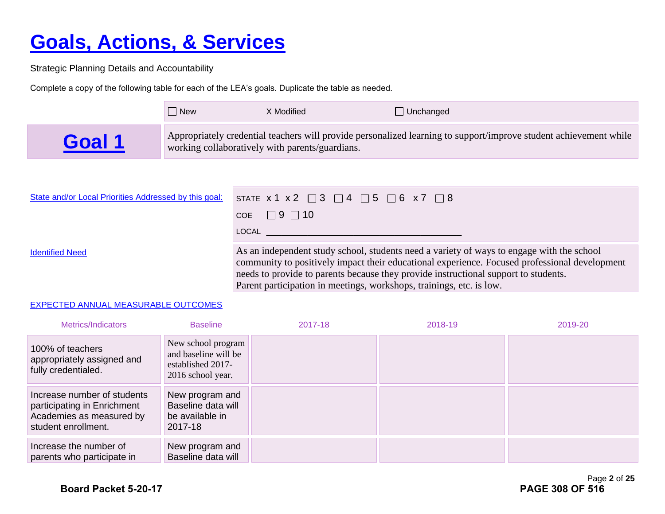# **Goals, Actions, & Services**

Strategic Planning Details and Accountability

Complete a copy of the following table for each of the LEA's goals. Duplicate the table as needed.

|      | l New | X Modified                                      | $\Box$ Unchanged                                                                                                  |
|------|-------|-------------------------------------------------|-------------------------------------------------------------------------------------------------------------------|
| Goal |       | working collaboratively with parents/guardians. | Appropriately credential teachers will provide personalized learning to support/improve student achievement while |

| State and/or Local Priorities Addressed by this goal: | STATE $x 1 x 2 \square 3 \square 4 \square 5 \square 6 x 7 \square 8$                                                                                                                                                                                                             |
|-------------------------------------------------------|-----------------------------------------------------------------------------------------------------------------------------------------------------------------------------------------------------------------------------------------------------------------------------------|
|                                                       | COE $\Box$ 9 $\Box$ 10                                                                                                                                                                                                                                                            |
|                                                       | LOCAL                                                                                                                                                                                                                                                                             |
| <b>Identified Need</b>                                | As an independent study school, students need a variety of ways to engage with the school<br>community to positively impact their educational experience. Focused professional development<br>needs to provide to parents because they provide instructional support to students. |

Parent participation in meetings, workshops, trainings, etc. is low.

#### EXPECTED ANNUAL MEASURABLE OUTCOMES

| Metrics/Indicators                                                                                            | <b>Baseline</b>                                                                      | 2017-18 | 2018-19 | 2019-20 |
|---------------------------------------------------------------------------------------------------------------|--------------------------------------------------------------------------------------|---------|---------|---------|
| 100% of teachers<br>appropriately assigned and<br>fully credentialed.                                         | New school program<br>and baseline will be<br>established 2017-<br>2016 school year. |         |         |         |
| Increase number of students<br>participating in Enrichment<br>Academies as measured by<br>student enrollment. | New program and<br>Baseline data will<br>be available in<br>2017-18                  |         |         |         |
| Increase the number of<br>parents who participate in                                                          | New program and<br>Baseline data will                                                |         |         |         |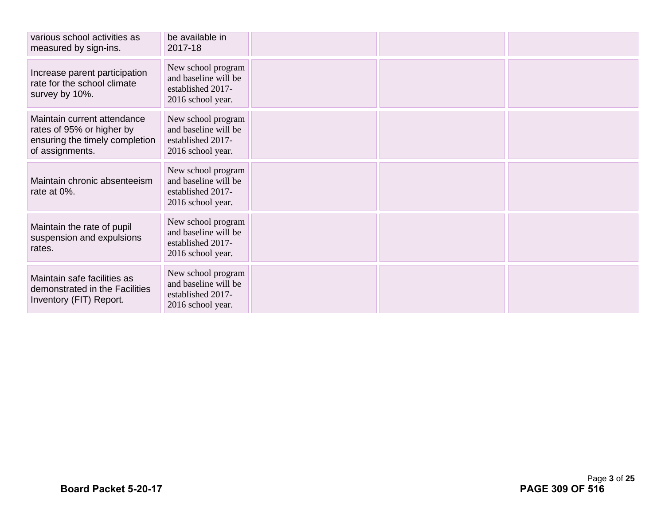| various school activities as<br>measured by sign-ins.                                                         | be available in<br>2017-18                                                           |  |  |
|---------------------------------------------------------------------------------------------------------------|--------------------------------------------------------------------------------------|--|--|
| Increase parent participation<br>rate for the school climate<br>survey by 10%.                                | New school program<br>and baseline will be<br>established 2017-<br>2016 school year. |  |  |
| Maintain current attendance<br>rates of 95% or higher by<br>ensuring the timely completion<br>of assignments. | New school program<br>and baseline will be<br>established 2017-<br>2016 school year. |  |  |
| Maintain chronic absenteeism<br>rate at 0%.                                                                   | New school program<br>and baseline will be<br>established 2017-<br>2016 school year. |  |  |
| Maintain the rate of pupil<br>suspension and expulsions<br>rates.                                             | New school program<br>and baseline will be<br>established 2017-<br>2016 school year. |  |  |
| Maintain safe facilities as<br>demonstrated in the Facilities<br>Inventory (FIT) Report.                      | New school program<br>and baseline will be<br>established 2017-<br>2016 school year. |  |  |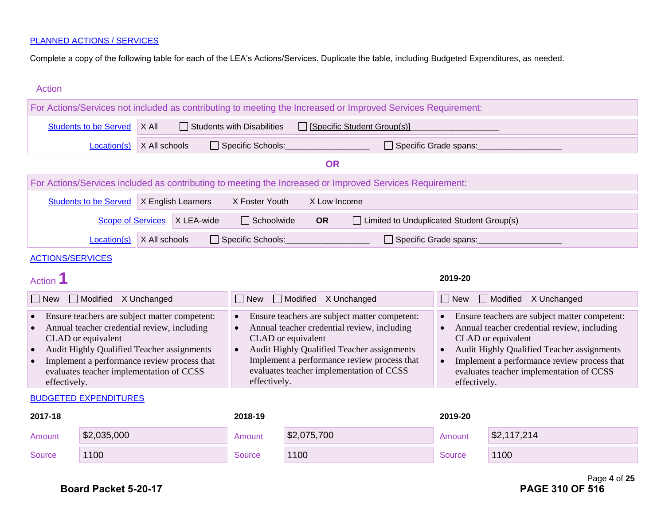Complete a copy of the following table for each of the LEA's Actions/Services. Duplicate the table, including Budgeted Expenditures, as needed.

| <b>Action</b>                          |                                                                                                                                                                                                                                                             |               |                    |                                        |                                                                                                                                                             |                                                                                                              |                                                                  |                                                                                                                                                                                                                                                             |
|----------------------------------------|-------------------------------------------------------------------------------------------------------------------------------------------------------------------------------------------------------------------------------------------------------------|---------------|--------------------|----------------------------------------|-------------------------------------------------------------------------------------------------------------------------------------------------------------|--------------------------------------------------------------------------------------------------------------|------------------------------------------------------------------|-------------------------------------------------------------------------------------------------------------------------------------------------------------------------------------------------------------------------------------------------------------|
|                                        |                                                                                                                                                                                                                                                             |               |                    |                                        |                                                                                                                                                             | For Actions/Services not included as contributing to meeting the Increased or Improved Services Requirement: |                                                                  |                                                                                                                                                                                                                                                             |
|                                        | <b>Students to be Served</b>                                                                                                                                                                                                                                | X All         |                    | Students with Disabilities             |                                                                                                                                                             | □ [Specific Student Group(s)]                                                                                |                                                                  |                                                                                                                                                                                                                                                             |
|                                        | Location(s)                                                                                                                                                                                                                                                 | X All schools |                    | Specific Schools:                      |                                                                                                                                                             | Specific Grade spans:                                                                                        |                                                                  |                                                                                                                                                                                                                                                             |
|                                        |                                                                                                                                                                                                                                                             |               |                    |                                        | <b>OR</b>                                                                                                                                                   |                                                                                                              |                                                                  |                                                                                                                                                                                                                                                             |
|                                        |                                                                                                                                                                                                                                                             |               |                    |                                        |                                                                                                                                                             | For Actions/Services included as contributing to meeting the Increased or Improved Services Requirement:     |                                                                  |                                                                                                                                                                                                                                                             |
|                                        | <b>Students to be Served</b>                                                                                                                                                                                                                                |               | X English Learners | X Foster Youth                         | X Low Income                                                                                                                                                |                                                                                                              |                                                                  |                                                                                                                                                                                                                                                             |
|                                        | <b>Scope of Services</b>                                                                                                                                                                                                                                    |               | X LEA-wide         | $\Box$ Schoolwide                      | <b>OR</b>                                                                                                                                                   | □ Limited to Unduplicated Student Group(s)                                                                   |                                                                  |                                                                                                                                                                                                                                                             |
|                                        | Location(s)                                                                                                                                                                                                                                                 | X All schools |                    | Specific Schools:                      |                                                                                                                                                             | □ Specific Grade spans:                                                                                      |                                                                  |                                                                                                                                                                                                                                                             |
| <b>ACTIONS/SERVICES</b>                |                                                                                                                                                                                                                                                             |               |                    |                                        |                                                                                                                                                             |                                                                                                              |                                                                  |                                                                                                                                                                                                                                                             |
| Action <sup>1</sup>                    |                                                                                                                                                                                                                                                             |               |                    |                                        |                                                                                                                                                             |                                                                                                              | 2019-20                                                          |                                                                                                                                                                                                                                                             |
| $\Box$ New                             | Modified X Unchanged                                                                                                                                                                                                                                        |               |                    | $\Box$ New                             | Modified X Unchanged                                                                                                                                        |                                                                                                              | $\Box$ New                                                       | Modified X Unchanged                                                                                                                                                                                                                                        |
| $\bullet$<br>$\bullet$<br>effectively. | Ensure teachers are subject matter competent:<br>Annual teacher credential review, including<br>CLAD or equivalent<br>Audit Highly Qualified Teacher assignments<br>Implement a performance review process that<br>evaluates teacher implementation of CCSS |               |                    | $\bullet$<br>$\bullet$<br>effectively. | Annual teacher credential review, including<br>CLAD or equivalent<br>Audit Highly Qualified Teacher assignments<br>evaluates teacher implementation of CCSS | Ensure teachers are subject matter competent:<br>Implement a performance review process that                 | $\bullet$<br>$\bullet$<br>$\bullet$<br>$\bullet$<br>effectively. | Ensure teachers are subject matter competent:<br>Annual teacher credential review, including<br>CLAD or equivalent<br>Audit Highly Qualified Teacher assignments<br>Implement a performance review process that<br>evaluates teacher implementation of CCSS |
|                                        | <b>BUDGETED EXPENDITURES</b>                                                                                                                                                                                                                                |               |                    |                                        |                                                                                                                                                             |                                                                                                              |                                                                  |                                                                                                                                                                                                                                                             |
| 2017-18                                |                                                                                                                                                                                                                                                             |               |                    | 2018-19                                |                                                                                                                                                             |                                                                                                              | 2019-20                                                          |                                                                                                                                                                                                                                                             |
| Amount                                 | \$2,035,000                                                                                                                                                                                                                                                 |               |                    | Amount                                 | \$2,075,700                                                                                                                                                 |                                                                                                              | Amount                                                           | \$2,117,214                                                                                                                                                                                                                                                 |
| <b>Source</b>                          | 1100                                                                                                                                                                                                                                                        |               |                    | <b>Source</b>                          | 1100                                                                                                                                                        |                                                                                                              | Source                                                           | 1100                                                                                                                                                                                                                                                        |
|                                        |                                                                                                                                                                                                                                                             |               |                    |                                        |                                                                                                                                                             |                                                                                                              |                                                                  | Page 4 of 25                                                                                                                                                                                                                                                |

Page **4** of **25**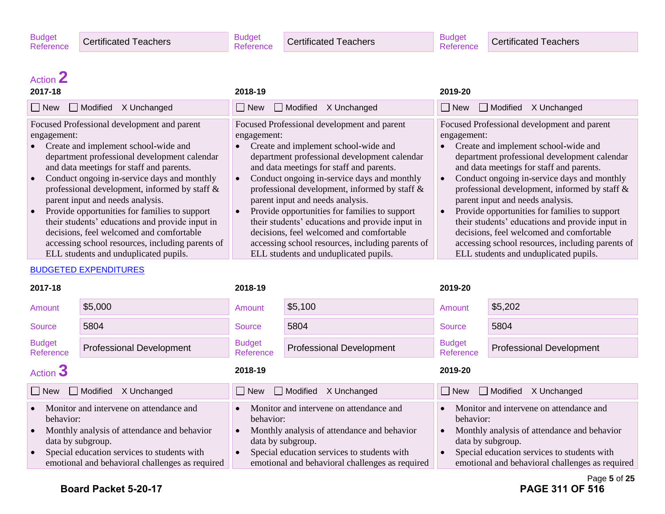Certificated Teachers

## Action **2**

| 2017-18                                                                                                                                                                                                                                                                                                                                                                                                                                                                                                                                                                                                   | 2018-19                                                                                                                                                                                                                                                                                                                                                                                                                                                                                                                                                                         | 2019-20                                                                                                                                                                                                                                                                                                                                                                                                                                                                                                                                                                         |
|-----------------------------------------------------------------------------------------------------------------------------------------------------------------------------------------------------------------------------------------------------------------------------------------------------------------------------------------------------------------------------------------------------------------------------------------------------------------------------------------------------------------------------------------------------------------------------------------------------------|---------------------------------------------------------------------------------------------------------------------------------------------------------------------------------------------------------------------------------------------------------------------------------------------------------------------------------------------------------------------------------------------------------------------------------------------------------------------------------------------------------------------------------------------------------------------------------|---------------------------------------------------------------------------------------------------------------------------------------------------------------------------------------------------------------------------------------------------------------------------------------------------------------------------------------------------------------------------------------------------------------------------------------------------------------------------------------------------------------------------------------------------------------------------------|
| Modified X Unchanged<br>$\Box$ New                                                                                                                                                                                                                                                                                                                                                                                                                                                                                                                                                                        | $\Box$ New<br>$\Box$ Modified<br>X Unchanged                                                                                                                                                                                                                                                                                                                                                                                                                                                                                                                                    | $\Box$ New<br>$\Box$ Modified<br>X Unchanged                                                                                                                                                                                                                                                                                                                                                                                                                                                                                                                                    |
| Focused Professional development and parent<br>engagement:<br>Create and implement school-wide and<br>department professional development calendar<br>and data meetings for staff and parents.<br>Conduct ongoing in-service days and monthly<br>$\bullet$<br>professional development, informed by staff &<br>parent input and needs analysis.<br>Provide opportunities for families to support<br>$\bullet$<br>their students' educations and provide input in<br>decisions, feel welcomed and comfortable<br>accessing school resources, including parents of<br>ELL students and unduplicated pupils. | Focused Professional development and parent<br>engagement:<br>Create and implement school-wide and<br>department professional development calendar<br>and data meetings for staff and parents.<br>Conduct ongoing in-service days and monthly<br>professional development, informed by staff &<br>parent input and needs analysis.<br>Provide opportunities for families to support<br>their students' educations and provide input in<br>decisions, feel welcomed and comfortable<br>accessing school resources, including parents of<br>ELL students and unduplicated pupils. | Focused Professional development and parent<br>engagement:<br>Create and implement school-wide and<br>department professional development calendar<br>and data meetings for staff and parents.<br>Conduct ongoing in-service days and monthly<br>professional development, informed by staff &<br>parent input and needs analysis.<br>Provide opportunities for families to support<br>their students' educations and provide input in<br>decisions, feel welcomed and comfortable<br>accessing school resources, including parents of<br>ELL students and unduplicated pupils. |

#### BUDGETED EXPENDITURES

| 2017-18                                                                                                                                                                                                                    |                                 | 2018-19                                                                                                                                                                                                                    |                                 | 2019-20                                                                                                                                                                                                                    |                                 |
|----------------------------------------------------------------------------------------------------------------------------------------------------------------------------------------------------------------------------|---------------------------------|----------------------------------------------------------------------------------------------------------------------------------------------------------------------------------------------------------------------------|---------------------------------|----------------------------------------------------------------------------------------------------------------------------------------------------------------------------------------------------------------------------|---------------------------------|
| Amount                                                                                                                                                                                                                     | \$5,000                         | Amount                                                                                                                                                                                                                     | \$5,100                         | Amount                                                                                                                                                                                                                     | \$5,202                         |
| Source                                                                                                                                                                                                                     | 5804                            | Source                                                                                                                                                                                                                     | 5804                            | <b>Source</b>                                                                                                                                                                                                              | 5804                            |
| <b>Budget</b><br>Reference                                                                                                                                                                                                 | <b>Professional Development</b> | <b>Budget</b><br>Reference                                                                                                                                                                                                 | <b>Professional Development</b> | <b>Budget</b><br>Reference                                                                                                                                                                                                 | <b>Professional Development</b> |
| Action 3                                                                                                                                                                                                                   |                                 | 2018-19                                                                                                                                                                                                                    |                                 | 2019-20                                                                                                                                                                                                                    |                                 |
| l New                                                                                                                                                                                                                      | Modified<br>X Unchanged         | New                                                                                                                                                                                                                        | $\Box$ Modified<br>X Unchanged  | $\Box$ New $\Box$ Modified                                                                                                                                                                                                 | X Unchanged                     |
| Monitor and intervene on attendance and<br>behavior:<br>Monthly analysis of attendance and behavior<br>data by subgroup.<br>Special education services to students with<br>emotional and behavioral challenges as required |                                 | Monitor and intervene on attendance and<br>behavior:<br>Monthly analysis of attendance and behavior<br>data by subgroup.<br>Special education services to students with<br>emotional and behavioral challenges as required |                                 | Monitor and intervene on attendance and<br>behavior:<br>Monthly analysis of attendance and behavior<br>data by subgroup.<br>Special education services to students with<br>emotional and behavioral challenges as required |                                 |

## Page **5** of **25**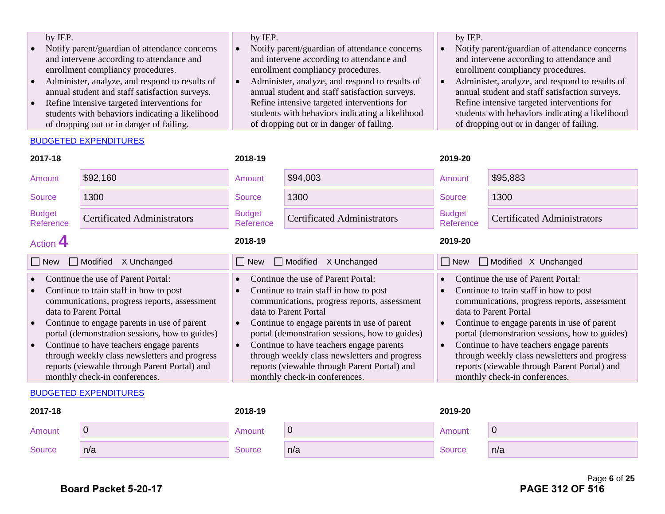| by IEP.                                         | by IEP.                                         | by IEP.                                         |
|-------------------------------------------------|-------------------------------------------------|-------------------------------------------------|
| Notify parent/guardian of attendance concerns   | Notify parent/guardian of attendance concerns   | Notify parent/guardian of attendance concerns   |
| and intervene according to attendance and       | and intervene according to attendance and       | and intervene according to attendance and       |
| enrollment compliancy procedures.               | enrollment compliancy procedures.               | enrollment compliancy procedures.               |
| Administer, analyze, and respond to results of  | Administer, analyze, and respond to results of  | Administer, analyze, and respond to results of  |
| annual student and staff satisfaction surveys.  | annual student and staff satisfaction surveys.  | annual student and staff satisfaction surveys.  |
| Refine intensive targeted interventions for     | Refine intensive targeted interventions for     | Refine intensive targeted interventions for     |
| students with behaviors indicating a likelihood | students with behaviors indicating a likelihood | students with behaviors indicating a likelihood |
| of dropping out or in danger of failing.        | of dropping out or in danger of failing.        | of dropping out or in danger of failing.        |
|                                                 |                                                 |                                                 |

#### BUDGETED EXPENDITURES

| 2017-18                                                                                                                                                                                                                                                                                                                                                                                                                                                                     |                                    | 2018-19                                      |                                                                                                                                                                                                                                                                                                                                                                                                                                      |                                                                                                                                                                                                                                                                                                                                                                                                                                      | 2019-20                            |  |  |
|-----------------------------------------------------------------------------------------------------------------------------------------------------------------------------------------------------------------------------------------------------------------------------------------------------------------------------------------------------------------------------------------------------------------------------------------------------------------------------|------------------------------------|----------------------------------------------|--------------------------------------------------------------------------------------------------------------------------------------------------------------------------------------------------------------------------------------------------------------------------------------------------------------------------------------------------------------------------------------------------------------------------------------|--------------------------------------------------------------------------------------------------------------------------------------------------------------------------------------------------------------------------------------------------------------------------------------------------------------------------------------------------------------------------------------------------------------------------------------|------------------------------------|--|--|
| Amount                                                                                                                                                                                                                                                                                                                                                                                                                                                                      | \$92,160                           | Amount                                       | \$94,003                                                                                                                                                                                                                                                                                                                                                                                                                             | Amount                                                                                                                                                                                                                                                                                                                                                                                                                               | \$95,883                           |  |  |
| Source                                                                                                                                                                                                                                                                                                                                                                                                                                                                      | 1300                               | Source                                       | 1300                                                                                                                                                                                                                                                                                                                                                                                                                                 | <b>Source</b>                                                                                                                                                                                                                                                                                                                                                                                                                        | 1300                               |  |  |
| <b>Budget</b><br>Reference                                                                                                                                                                                                                                                                                                                                                                                                                                                  | <b>Certificated Administrators</b> | <b>Budget</b><br>Reference                   | <b>Certificated Administrators</b>                                                                                                                                                                                                                                                                                                                                                                                                   | <b>Budget</b><br>Reference                                                                                                                                                                                                                                                                                                                                                                                                           | <b>Certificated Administrators</b> |  |  |
| Action 4                                                                                                                                                                                                                                                                                                                                                                                                                                                                    |                                    | 2018-19                                      |                                                                                                                                                                                                                                                                                                                                                                                                                                      | 2019-20                                                                                                                                                                                                                                                                                                                                                                                                                              |                                    |  |  |
| $\Box$ Modified<br>X Unchanged<br>$\Box$ New                                                                                                                                                                                                                                                                                                                                                                                                                                |                                    | $\Box$ Modified<br>X Unchanged<br>$\Box$ New |                                                                                                                                                                                                                                                                                                                                                                                                                                      | Modified X Unchanged<br>$\Box$ New                                                                                                                                                                                                                                                                                                                                                                                                   |                                    |  |  |
| Continue the use of Parent Portal:<br>Continue to train staff in how to post<br>$\bullet$<br>communications, progress reports, assessment<br>data to Parent Portal<br>Continue to engage parents in use of parent<br>$\bullet$<br>portal (demonstration sessions, how to guides)<br>Continue to have teachers engage parents<br>$\bullet$<br>through weekly class newsletters and progress<br>reports (viewable through Parent Portal) and<br>monthly check-in conferences. |                                    | $\bullet$<br>$\bullet$<br>$\bullet$          | Continue the use of Parent Portal:<br>Continue to train staff in how to post<br>communications, progress reports, assessment<br>data to Parent Portal<br>Continue to engage parents in use of parent<br>portal (demonstration sessions, how to guides)<br>Continue to have teachers engage parents<br>through weekly class newsletters and progress<br>reports (viewable through Parent Portal) and<br>monthly check-in conferences. | Continue the use of Parent Portal:<br>Continue to train staff in how to post<br>communications, progress reports, assessment<br>data to Parent Portal<br>Continue to engage parents in use of parent<br>portal (demonstration sessions, how to guides)<br>Continue to have teachers engage parents<br>through weekly class newsletters and progress<br>reports (viewable through Parent Portal) and<br>monthly check-in conferences. |                                    |  |  |

#### BUDGETED EXPENDITURES

| 2017-18 |     | 2018-19       |     | 2019-20 |     |
|---------|-----|---------------|-----|---------|-----|
| Amount  | U   | Amount        | 0   | Amount  | U   |
| Source  | n/a | <b>Source</b> | n/a | Source  | n/a |

Page **6** of **25**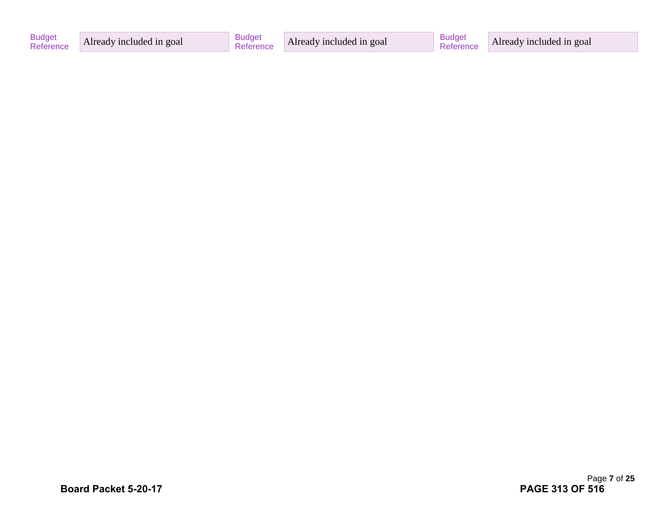| <b>Budget</b><br>Reference | Already included in goal | <b>Budget</b> | Already included in goal | <b>Budge</b> | Already included in goal |
|----------------------------|--------------------------|---------------|--------------------------|--------------|--------------------------|
|----------------------------|--------------------------|---------------|--------------------------|--------------|--------------------------|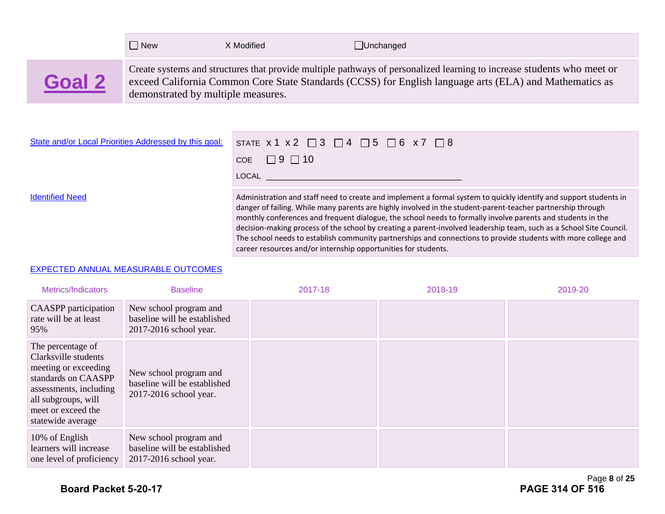|        | New                                | X Modified | $\Box$ Unchanged                                                                                                                                                                                                                  |
|--------|------------------------------------|------------|-----------------------------------------------------------------------------------------------------------------------------------------------------------------------------------------------------------------------------------|
| Goal 2 | demonstrated by multiple measures. |            | Create systems and structures that provide multiple pathways of personalized learning to increase students who meet or<br>exceed California Common Core State Standards (CCSS) for English language arts (ELA) and Mathematics as |

| State and/or Local Priorities Addressed by this goal: | STATE $x1 x2 \square 3 \square 4 \square 5 \square 6 x7 \square 8$                                                                                                                                                                                                                                                                                                                                                                                                     |
|-------------------------------------------------------|------------------------------------------------------------------------------------------------------------------------------------------------------------------------------------------------------------------------------------------------------------------------------------------------------------------------------------------------------------------------------------------------------------------------------------------------------------------------|
|                                                       | COE $\Box$ 9 $\Box$ 10                                                                                                                                                                                                                                                                                                                                                                                                                                                 |
|                                                       | LOCAL <b>Andrew Marshall</b>                                                                                                                                                                                                                                                                                                                                                                                                                                           |
| <b>Identified Need</b>                                | Administration and staff need to create and implement a formal system to quickly identify and support students in<br>danger of failing. While many parents are highly involved in the student-parent-teacher partnership through<br>monthly conferences and frequent dialogue, the school needs to formally involve parents and students in the<br>decision-making process of the school by creating a parent-involved leadership team, such as a School Site Council. |

career resources and/or internship opportunities for students.

The school needs to establish community partnerships and connections to provide students with more college and

#### EXPECTED ANNUAL MEASURABLE OUTCOMES

| Metrics/Indicators                                                                                                                                                                   | <b>Baseline</b>                                                                  | 2017-18 | 2018-19 | 2019-20 |
|--------------------------------------------------------------------------------------------------------------------------------------------------------------------------------------|----------------------------------------------------------------------------------|---------|---------|---------|
| <b>CAASPP</b> participation<br>rate will be at least<br>95%                                                                                                                          | New school program and<br>baseline will be established<br>2017-2016 school year. |         |         |         |
| The percentage of<br>Clarksville students<br>meeting or exceeding<br>standards on CAASPP<br>assessments, including<br>all subgroups, will<br>meet or exceed the<br>statewide average | New school program and<br>baseline will be established<br>2017-2016 school year. |         |         |         |
| 10% of English<br>learners will increase<br>one level of proficiency                                                                                                                 | New school program and<br>baseline will be established<br>2017-2016 school year. |         |         |         |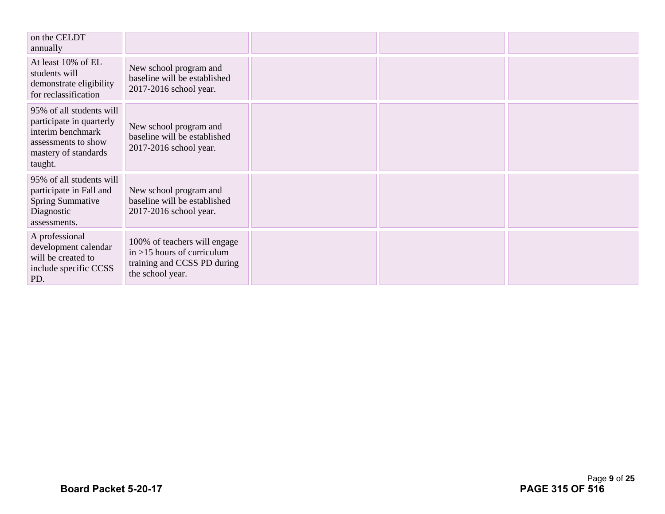| on the CELDT<br>annually                                                                                                            |                                                                                                                  |  |  |
|-------------------------------------------------------------------------------------------------------------------------------------|------------------------------------------------------------------------------------------------------------------|--|--|
| At least 10% of EL<br>students will<br>demonstrate eligibility<br>for reclassification                                              | New school program and<br>baseline will be established<br>2017-2016 school year.                                 |  |  |
| 95% of all students will<br>participate in quarterly<br>interim benchmark<br>assessments to show<br>mastery of standards<br>taught. | New school program and<br>baseline will be established<br>2017-2016 school year.                                 |  |  |
| 95% of all students will<br>participate in Fall and<br><b>Spring Summative</b><br>Diagnostic<br>assessments.                        | New school program and<br>baseline will be established<br>2017-2016 school year.                                 |  |  |
| A professional<br>development calendar<br>will be created to<br>include specific CCSS<br>PD.                                        | 100% of teachers will engage<br>$in > 15$ hours of curriculum<br>training and CCSS PD during<br>the school year. |  |  |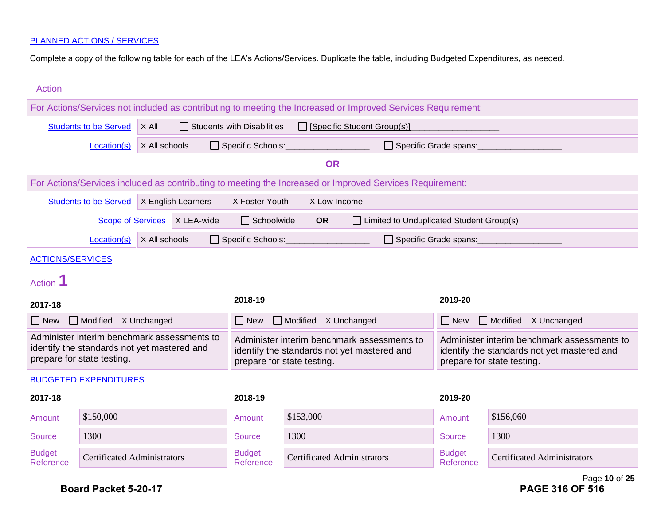Complete a copy of the following table for each of the LEA's Actions/Services. Duplicate the table, including Budgeted Expenditures, as needed.

| <b>Action</b>              |                                                                                                                          |               |                    |                                   |                                    |                                                                                                              |                            |                                                                                                                          |
|----------------------------|--------------------------------------------------------------------------------------------------------------------------|---------------|--------------------|-----------------------------------|------------------------------------|--------------------------------------------------------------------------------------------------------------|----------------------------|--------------------------------------------------------------------------------------------------------------------------|
|                            |                                                                                                                          |               |                    |                                   |                                    | For Actions/Services not included as contributing to meeting the Increased or Improved Services Requirement: |                            |                                                                                                                          |
|                            | <b>Students to be Served</b>                                                                                             | X All         |                    | $\Box$ Students with Disabilities |                                    | □ [Specific Student Group(s)]                                                                                |                            |                                                                                                                          |
|                            | Location(s)                                                                                                              | X All schools |                    | □ Specific Schools:               |                                    | $\Box$ Specific Grade spans:                                                                                 |                            |                                                                                                                          |
|                            |                                                                                                                          |               |                    |                                   | <b>OR</b>                          |                                                                                                              |                            |                                                                                                                          |
|                            |                                                                                                                          |               |                    |                                   |                                    | For Actions/Services included as contributing to meeting the Increased or Improved Services Requirement:     |                            |                                                                                                                          |
|                            | <b>Students to be Served</b>                                                                                             |               | X English Learners | X Foster Youth                    | X Low Income                       |                                                                                                              |                            |                                                                                                                          |
|                            | <b>Scope of Services</b>                                                                                                 |               | X LEA-wide         | $\Box$ Schoolwide                 | <b>OR</b>                          | □ Limited to Unduplicated Student Group(s)                                                                   |                            |                                                                                                                          |
|                            | Location(s)                                                                                                              | X All schools |                    | Specific Schools:                 |                                    | $\Box$ Specific Grade spans:                                                                                 |                            |                                                                                                                          |
| <b>ACTIONS/SERVICES</b>    |                                                                                                                          |               |                    |                                   |                                    |                                                                                                              |                            |                                                                                                                          |
| Action 1                   |                                                                                                                          |               |                    |                                   |                                    |                                                                                                              |                            |                                                                                                                          |
| 2017-18                    |                                                                                                                          |               |                    | 2018-19                           |                                    |                                                                                                              | 2019-20                    |                                                                                                                          |
| $\Box$ New                 | Modified X Unchanged                                                                                                     |               |                    | $\Box$ New                        | Modified X Unchanged               |                                                                                                              | $\Box$ New                 | Modified X Unchanged                                                                                                     |
|                            | Administer interim benchmark assessments to<br>identify the standards not yet mastered and<br>prepare for state testing. |               |                    |                                   | prepare for state testing.         | Administer interim benchmark assessments to<br>identify the standards not yet mastered and                   |                            | Administer interim benchmark assessments to<br>identify the standards not yet mastered and<br>prepare for state testing. |
|                            | <b>BUDGETED EXPENDITURES</b>                                                                                             |               |                    |                                   |                                    |                                                                                                              |                            |                                                                                                                          |
| 2017-18                    |                                                                                                                          |               |                    | 2018-19                           |                                    |                                                                                                              | 2019-20                    |                                                                                                                          |
| Amount                     | \$150,000                                                                                                                |               |                    | Amount                            | \$153,000                          |                                                                                                              | Amount                     | \$156,060                                                                                                                |
| <b>Source</b>              | 1300                                                                                                                     |               |                    | <b>Source</b>                     | 1300                               |                                                                                                              | <b>Source</b>              | 1300                                                                                                                     |
| <b>Budget</b><br>Reference | <b>Certificated Administrators</b>                                                                                       |               |                    | <b>Budget</b><br>Reference        | <b>Certificated Administrators</b> |                                                                                                              | <b>Budget</b><br>Reference | <b>Certificated Administrators</b>                                                                                       |

Page **10** of **25**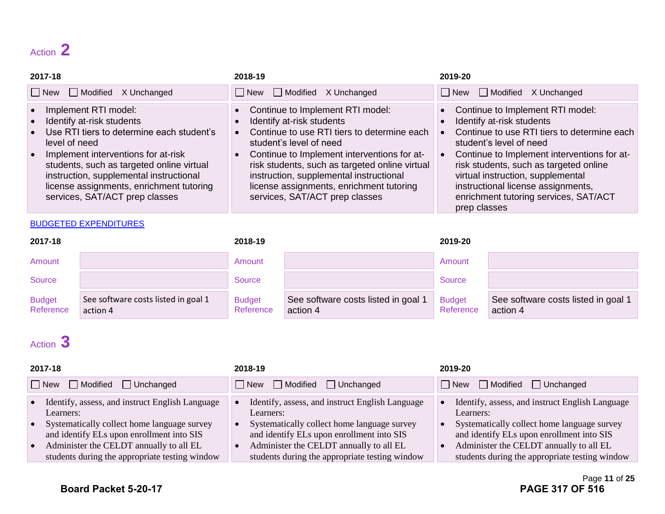## Action **2**

| 2017-18                                                                                                                                                                                                                                                                                                                                   | 2018-19                                                                                                                                                                                                                                                                                                                                                               | 2019-20                                                                                                                                                                                                                                                                                                                                                              |
|-------------------------------------------------------------------------------------------------------------------------------------------------------------------------------------------------------------------------------------------------------------------------------------------------------------------------------------------|-----------------------------------------------------------------------------------------------------------------------------------------------------------------------------------------------------------------------------------------------------------------------------------------------------------------------------------------------------------------------|----------------------------------------------------------------------------------------------------------------------------------------------------------------------------------------------------------------------------------------------------------------------------------------------------------------------------------------------------------------------|
| New Modified X Unchanged                                                                                                                                                                                                                                                                                                                  | $\Box$ New $\Box$ Modified X Unchanged                                                                                                                                                                                                                                                                                                                                | $\Box$ New $\Box$ Modified X Unchanged                                                                                                                                                                                                                                                                                                                               |
| Implement RTI model:<br>Identify at-risk students<br>Use RTI tiers to determine each student's<br>level of need<br>Implement interventions for at-risk<br>$\bullet$<br>students, such as targeted online virtual<br>instruction, supplemental instructional<br>license assignments, enrichment tutoring<br>services, SAT/ACT prep classes | • Continue to Implement RTI model:<br>Identify at-risk students<br>Continue to use RTI tiers to determine each<br>student's level of need<br>• Continue to Implement interventions for at-<br>risk students, such as targeted online virtual<br>instruction, supplemental instructional<br>license assignments, enrichment tutoring<br>services, SAT/ACT prep classes | Continue to Implement RTI model:<br>Identify at-risk students<br>Continue to use RTI tiers to determine each<br>student's level of need<br>Continue to Implement interventions for at-<br>risk students, such as targeted online<br>virtual instruction, supplemental<br>instructional license assignments,<br>enrichment tutoring services, SAT/ACT<br>prep classes |

#### BUDGETED EXPENDITURES

| 2017-18                    |                                                 | 2018-19                    |                                               | 2019-20                    |                                                 |
|----------------------------|-------------------------------------------------|----------------------------|-----------------------------------------------|----------------------------|-------------------------------------------------|
| Amount                     |                                                 | Amount                     |                                               | Amount                     |                                                 |
| Source                     |                                                 | Source                     |                                               | Source                     |                                                 |
| <b>Budget</b><br>Reference | See software costs listed in goal 1<br>action 4 | <b>Budget</b><br>Reference | See software costs listed in goal<br>action 4 | <b>Budget</b><br>Reference | See software costs listed in goal 1<br>action 4 |

## Action **3**

| 2017-18                                                                                                                                                                                                                                               | 2018-19                                                                                                                                                                                                                                               | 2019-20                                                                                                                                                                                                                                               |
|-------------------------------------------------------------------------------------------------------------------------------------------------------------------------------------------------------------------------------------------------------|-------------------------------------------------------------------------------------------------------------------------------------------------------------------------------------------------------------------------------------------------------|-------------------------------------------------------------------------------------------------------------------------------------------------------------------------------------------------------------------------------------------------------|
| $\Box$ New<br>Modified<br>$\Box$ Unchanged                                                                                                                                                                                                            | $\Box$ Modified $\Box$ Unchanged<br>l INew                                                                                                                                                                                                            | $\Box$ New $\Box$ Modified $\Box$ Unchanged                                                                                                                                                                                                           |
| Identify, assess, and instruct English Language<br>Learners:<br>Systematically collect home language survey<br>and identify ELs upon enrollment into SIS<br>Administer the CELDT annually to all EL<br>students during the appropriate testing window | Identify, assess, and instruct English Language<br>Learners:<br>Systematically collect home language survey<br>and identify ELs upon enrollment into SIS<br>Administer the CELDT annually to all EL<br>students during the appropriate testing window | Identify, assess, and instruct English Language<br>Learners:<br>Systematically collect home language survey<br>and identify ELs upon enrollment into SIS<br>Administer the CELDT annually to all EL<br>students during the appropriate testing window |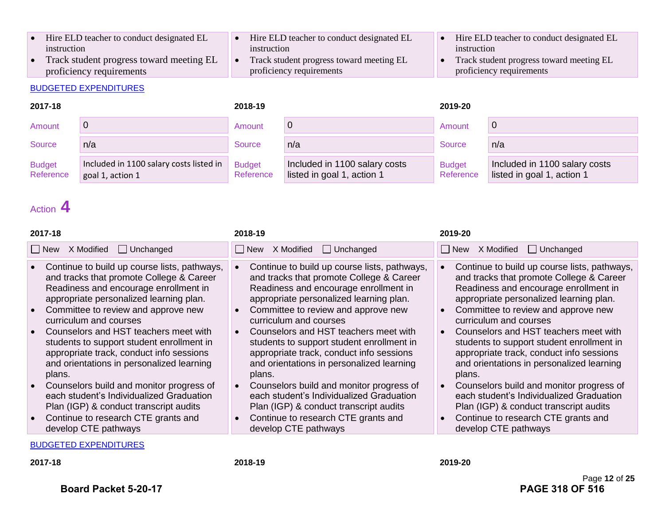- Hire ELD teacher to conduct designated EL instruction
- Track student progress toward meeting EL proficiency requirements

#### BUDGETED EXPENDITURES

#### • Hire ELD teacher to conduct designated EL instruction

- Track student progress toward meeting EL proficiency requirements
- Hire ELD teacher to conduct designated EL instruction
- Track student progress toward meeting EL proficiency requirements

| 2017-18                    |                                                             | 2018-19                    |                                                             | 2019-20                    |                                                             |
|----------------------------|-------------------------------------------------------------|----------------------------|-------------------------------------------------------------|----------------------------|-------------------------------------------------------------|
| Amount                     |                                                             | Amount                     | 0                                                           | Amount                     |                                                             |
| Source                     | n/a                                                         | Source                     | n/a                                                         | Source                     | n/a                                                         |
| <b>Budget</b><br>Reference | Included in 1100 salary costs listed in<br>goal 1, action 1 | <b>Budget</b><br>Reference | Included in 1100 salary costs<br>listed in goal 1, action 1 | <b>Budget</b><br>Reference | Included in 1100 salary costs<br>listed in goal 1, action 1 |

## Action **4**

| 2017-18                                                                                                                                                                                                                                                                                                                                                                                                                                                                                                                                                                                                                                                               | 2018-19                                                                                                                                                                                                                                                                                                                                                                                                                                                                                                                                                                                                                                                                        | 2019-20                                                                                                                                                                                                                                                                                                                                                                                                                                                                                                                                                                                                                                 |
|-----------------------------------------------------------------------------------------------------------------------------------------------------------------------------------------------------------------------------------------------------------------------------------------------------------------------------------------------------------------------------------------------------------------------------------------------------------------------------------------------------------------------------------------------------------------------------------------------------------------------------------------------------------------------|--------------------------------------------------------------------------------------------------------------------------------------------------------------------------------------------------------------------------------------------------------------------------------------------------------------------------------------------------------------------------------------------------------------------------------------------------------------------------------------------------------------------------------------------------------------------------------------------------------------------------------------------------------------------------------|-----------------------------------------------------------------------------------------------------------------------------------------------------------------------------------------------------------------------------------------------------------------------------------------------------------------------------------------------------------------------------------------------------------------------------------------------------------------------------------------------------------------------------------------------------------------------------------------------------------------------------------------|
| $\Box$ New<br>X Modified<br>$\Box$ Unchanged                                                                                                                                                                                                                                                                                                                                                                                                                                                                                                                                                                                                                          | X Modified<br>$\Box$ Unchanged<br>$\Box$ New                                                                                                                                                                                                                                                                                                                                                                                                                                                                                                                                                                                                                                   | □ New X Modified<br>$\Box$ Unchanged                                                                                                                                                                                                                                                                                                                                                                                                                                                                                                                                                                                                    |
| • Continue to build up course lists, pathways,<br>and tracks that promote College & Career<br>Readiness and encourage enrollment in<br>appropriate personalized learning plan.<br>Committee to review and approve new<br>$\bullet$<br>curriculum and courses<br>Counselors and HST teachers meet with<br>students to support student enrollment in<br>appropriate track, conduct info sessions<br>and orientations in personalized learning<br>plans.<br>Counselors build and monitor progress of<br>$\bullet$<br>each student's Individualized Graduation<br>Plan (IGP) & conduct transcript audits<br>• Continue to research CTE grants and<br>develop CTE pathways | Continue to build up course lists, pathways,<br>and tracks that promote College & Career<br>Readiness and encourage enrollment in<br>appropriate personalized learning plan.<br>Committee to review and approve new<br>$\bullet$<br>curriculum and courses<br>Counselors and HST teachers meet with<br>$\bullet$<br>students to support student enrollment in<br>appropriate track, conduct info sessions<br>and orientations in personalized learning<br>plans.<br>Counselors build and monitor progress of<br>each student's Individualized Graduation<br>Plan (IGP) & conduct transcript audits<br>Continue to research CTE grants and<br>$\bullet$<br>develop CTE pathways | Continue to build up course lists, pathways,<br>and tracks that promote College & Career<br>Readiness and encourage enrollment in<br>appropriate personalized learning plan.<br>Committee to review and approve new<br>curriculum and courses<br>Counselors and HST teachers meet with<br>students to support student enrollment in<br>appropriate track, conduct info sessions<br>and orientations in personalized learning<br>plans.<br>Counselors build and monitor progress of<br>each student's Individualized Graduation<br>Plan (IGP) & conduct transcript audits<br>Continue to research CTE grants and<br>develop CTE pathways |
|                                                                                                                                                                                                                                                                                                                                                                                                                                                                                                                                                                                                                                                                       |                                                                                                                                                                                                                                                                                                                                                                                                                                                                                                                                                                                                                                                                                |                                                                                                                                                                                                                                                                                                                                                                                                                                                                                                                                                                                                                                         |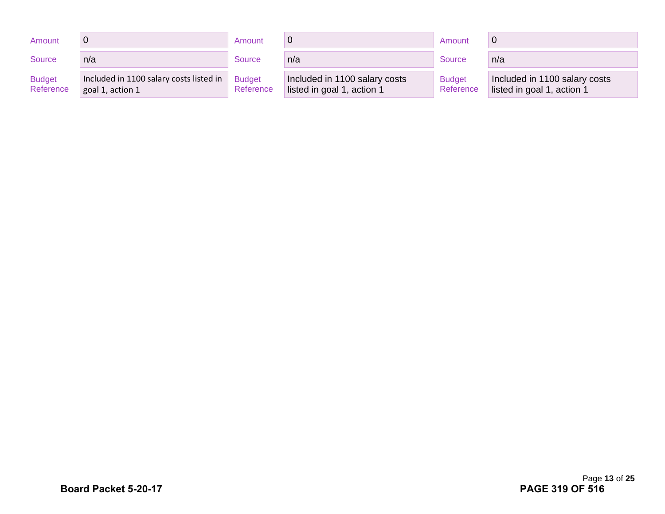| Amount                     |                                                             | Amount                     |                                                             | Amount                     |                                                             |
|----------------------------|-------------------------------------------------------------|----------------------------|-------------------------------------------------------------|----------------------------|-------------------------------------------------------------|
| Source                     | n/a                                                         | Source                     | n/a                                                         | Source                     | n/a                                                         |
| <b>Budget</b><br>Reference | Included in 1100 salary costs listed in<br>goal 1, action 1 | <b>Budget</b><br>Reference | Included in 1100 salary costs<br>listed in goal 1, action 1 | <b>Budget</b><br>Reference | Included in 1100 salary costs<br>listed in goal 1, action 1 |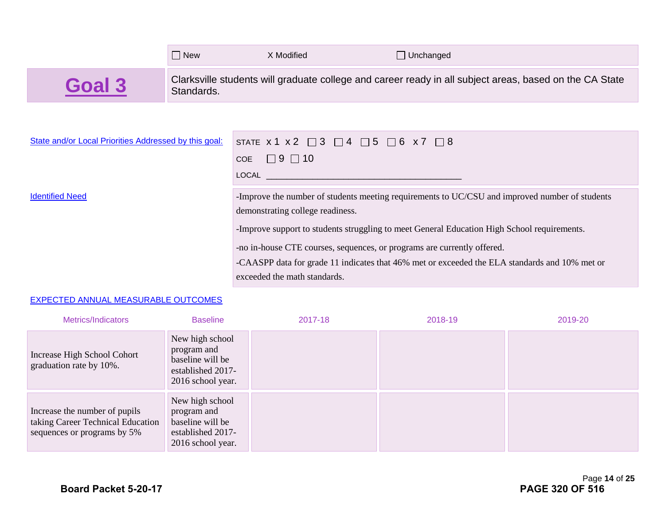| Clarksville students will graduate college and career ready in all subject areas, based on the CA State<br>Standards. |                                                                                                                                                                                                                                                      |  |  |  |  |
|-----------------------------------------------------------------------------------------------------------------------|------------------------------------------------------------------------------------------------------------------------------------------------------------------------------------------------------------------------------------------------------|--|--|--|--|
|                                                                                                                       |                                                                                                                                                                                                                                                      |  |  |  |  |
|                                                                                                                       |                                                                                                                                                                                                                                                      |  |  |  |  |
|                                                                                                                       |                                                                                                                                                                                                                                                      |  |  |  |  |
|                                                                                                                       |                                                                                                                                                                                                                                                      |  |  |  |  |
|                                                                                                                       | -Improve the number of students meeting requirements to UC/CSU and improved number of students                                                                                                                                                       |  |  |  |  |
|                                                                                                                       | STATE $x 1 x 2 \square 3 \square 4 \square 5 \square 6 x 7 \square 8$<br>COE $\Box$ 9 $\Box$ 10<br>LOCAL And the contract of the contract of the contract of the contract of the contract of the contract of the<br>demonstrating college readiness. |  |  |  |  |

-Improve support to students struggling to meet General Education High School requirements.

-no in-house CTE courses, sequences, or programs are currently offered.

-CAASPP data for grade 11 indicates that 46% met or exceeded the ELA standards and 10% met or exceeded the math standards.

#### EXPECTED ANNUAL MEASURABLE OUTCOMES

| Metrics/Indicators                                                                                | <b>Baseline</b>                                                                              | 2017-18 | 2018-19 | 2019-20 |
|---------------------------------------------------------------------------------------------------|----------------------------------------------------------------------------------------------|---------|---------|---------|
| Increase High School Cohort<br>graduation rate by 10%.                                            | New high school<br>program and<br>baseline will be<br>established 2017-<br>2016 school year. |         |         |         |
| Increase the number of pupils<br>taking Career Technical Education<br>sequences or programs by 5% | New high school<br>program and<br>baseline will be<br>established 2017-<br>2016 school year. |         |         |         |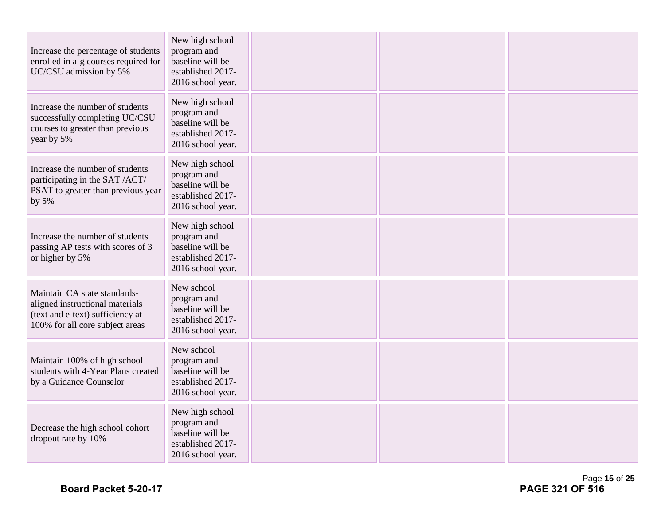| Increase the percentage of students<br>enrolled in a-g courses required for<br>UC/CSU admission by 5%                                  | New high school<br>program and<br>baseline will be<br>established 2017-<br>2016 school year. |  |  |
|----------------------------------------------------------------------------------------------------------------------------------------|----------------------------------------------------------------------------------------------|--|--|
| Increase the number of students<br>successfully completing UC/CSU<br>courses to greater than previous<br>year by 5%                    | New high school<br>program and<br>baseline will be<br>established 2017-<br>2016 school year. |  |  |
| Increase the number of students<br>participating in the SAT /ACT/<br>PSAT to greater than previous year<br>by 5%                       | New high school<br>program and<br>baseline will be<br>established 2017-<br>2016 school year. |  |  |
| Increase the number of students<br>passing AP tests with scores of 3<br>or higher by 5%                                                | New high school<br>program and<br>baseline will be<br>established 2017-<br>2016 school year. |  |  |
| Maintain CA state standards-<br>aligned instructional materials<br>(text and e-text) sufficiency at<br>100% for all core subject areas | New school<br>program and<br>baseline will be<br>established 2017-<br>2016 school year.      |  |  |
| Maintain 100% of high school<br>students with 4-Year Plans created<br>by a Guidance Counselor                                          | New school<br>program and<br>baseline will be<br>established 2017-<br>2016 school year.      |  |  |
| Decrease the high school cohort<br>dropout rate by 10%                                                                                 | New high school<br>program and<br>baseline will be<br>established 2017-<br>2016 school year. |  |  |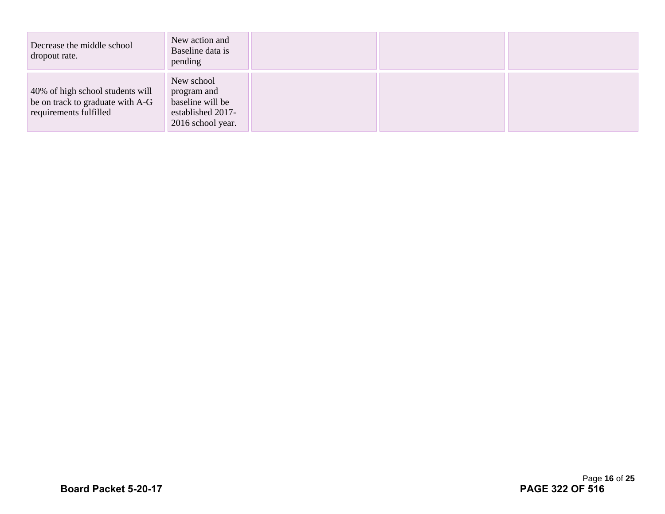| Decrease the middle school<br>dropout rate.                                                    | New action and<br>Baseline data is<br>pending                                           |  |  |
|------------------------------------------------------------------------------------------------|-----------------------------------------------------------------------------------------|--|--|
| 40% of high school students will<br>be on track to graduate with A-G<br>requirements fulfilled | New school<br>program and<br>baseline will be<br>established 2017-<br>2016 school year. |  |  |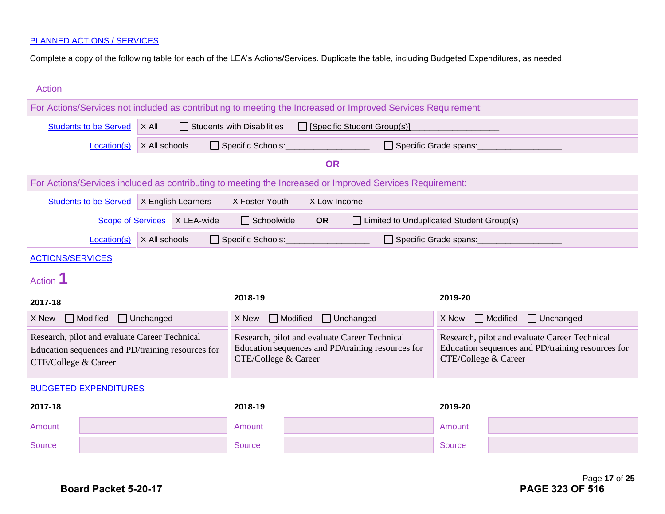Complete a copy of the following table for each of the LEA's Actions/Services. Duplicate the table, including Budgeted Expenditures, as needed.

| <b>Action</b>                                                                                                              |                              |                  |                                                                                                                                                                                                                                                          |                                   |                 |                             |                                                                                                              |               |                 |                  |
|----------------------------------------------------------------------------------------------------------------------------|------------------------------|------------------|----------------------------------------------------------------------------------------------------------------------------------------------------------------------------------------------------------------------------------------------------------|-----------------------------------|-----------------|-----------------------------|--------------------------------------------------------------------------------------------------------------|---------------|-----------------|------------------|
|                                                                                                                            |                              |                  |                                                                                                                                                                                                                                                          |                                   |                 |                             | For Actions/Services not included as contributing to meeting the Increased or Improved Services Requirement: |               |                 |                  |
|                                                                                                                            | <b>Students to be Served</b> | X All            |                                                                                                                                                                                                                                                          | $\Box$ Students with Disabilities |                 | [Specific Student Group(s)] |                                                                                                              |               |                 |                  |
|                                                                                                                            | Location(s)                  |                  | Specific Schools:<br>□ Specific Grade spans:<br>X All schools                                                                                                                                                                                            |                                   |                 |                             |                                                                                                              |               |                 |                  |
|                                                                                                                            |                              |                  |                                                                                                                                                                                                                                                          |                                   |                 | <b>OR</b>                   |                                                                                                              |               |                 |                  |
|                                                                                                                            |                              |                  |                                                                                                                                                                                                                                                          |                                   |                 |                             | For Actions/Services included as contributing to meeting the Increased or Improved Services Requirement:     |               |                 |                  |
|                                                                                                                            | <b>Students to be Served</b> |                  | X English Learners                                                                                                                                                                                                                                       | X Foster Youth                    |                 | X Low Income                |                                                                                                              |               |                 |                  |
|                                                                                                                            | <b>Scope of Services</b>     |                  | X LEA-wide                                                                                                                                                                                                                                               | $\Box$ Schoolwide                 |                 | <b>OR</b>                   | □ Limited to Unduplicated Student Group(s)                                                                   |               |                 |                  |
|                                                                                                                            | Location(s)                  | X All schools    |                                                                                                                                                                                                                                                          | □ Specific Schools:               |                 |                             | □ Specific Grade spans:                                                                                      |               |                 |                  |
| <b>ACTIONS/SERVICES</b>                                                                                                    |                              |                  |                                                                                                                                                                                                                                                          |                                   |                 |                             |                                                                                                              |               |                 |                  |
| Action <sup>1</sup>                                                                                                        |                              |                  |                                                                                                                                                                                                                                                          |                                   |                 |                             |                                                                                                              |               |                 |                  |
| 2017-18                                                                                                                    |                              |                  |                                                                                                                                                                                                                                                          | 2018-19                           |                 |                             |                                                                                                              | 2019-20       |                 |                  |
| X New                                                                                                                      | Modified                     | $\Box$ Unchanged |                                                                                                                                                                                                                                                          | X New                             | $\Box$ Modified | $\Box$ Unchanged            |                                                                                                              | X New         | $\Box$ Modified | $\Box$ Unchanged |
| Research, pilot and evaluate Career Technical<br>Education sequences and PD/training resources for<br>CTE/College & Career |                              |                  | Research, pilot and evaluate Career Technical<br>Research, pilot and evaluate Career Technical<br>Education sequences and PD/training resources for<br>Education sequences and PD/training resources for<br>CTE/College & Career<br>CTE/College & Career |                                   |                 |                             |                                                                                                              |               |                 |                  |
| <b>BUDGETED EXPENDITURES</b>                                                                                               |                              |                  |                                                                                                                                                                                                                                                          |                                   |                 |                             |                                                                                                              |               |                 |                  |
| 2017-18                                                                                                                    |                              |                  |                                                                                                                                                                                                                                                          | 2018-19                           |                 |                             |                                                                                                              | 2019-20       |                 |                  |
| Amount                                                                                                                     |                              |                  |                                                                                                                                                                                                                                                          | Amount                            |                 |                             |                                                                                                              | Amount        |                 |                  |
| <b>Source</b>                                                                                                              |                              |                  |                                                                                                                                                                                                                                                          | Source                            |                 |                             |                                                                                                              | <b>Source</b> |                 |                  |
|                                                                                                                            |                              |                  |                                                                                                                                                                                                                                                          |                                   |                 |                             |                                                                                                              |               |                 |                  |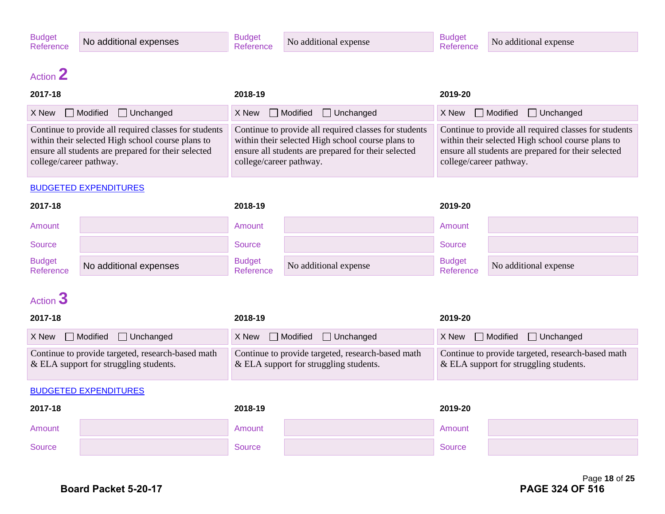No additional expense

## Action **2**

| 2017-18                                                                                                                                                                                      | 2018-19                                                                                                                                                                                      | 2019-20                                                                                                                                                                                      |
|----------------------------------------------------------------------------------------------------------------------------------------------------------------------------------------------|----------------------------------------------------------------------------------------------------------------------------------------------------------------------------------------------|----------------------------------------------------------------------------------------------------------------------------------------------------------------------------------------------|
| $X$ New $\Box$ Modified<br>Unchanged                                                                                                                                                         | $X$ New $\Box$ Modified $\Box$ Unchanged                                                                                                                                                     | $X$ New $\Box$ Modified $\Box$ Unchanged                                                                                                                                                     |
| Continue to provide all required classes for students<br>within their selected High school course plans to<br>ensure all students are prepared for their selected<br>college/career pathway. | Continue to provide all required classes for students<br>within their selected High school course plans to<br>ensure all students are prepared for their selected<br>college/career pathway. | Continue to provide all required classes for students<br>within their selected High school course plans to<br>ensure all students are prepared for their selected<br>college/career pathway. |

#### BUDGETED EXPENDITURES

| 2017-18                    |                        | 2018-19                    |                       | 2019-20                    |                       |
|----------------------------|------------------------|----------------------------|-----------------------|----------------------------|-----------------------|
| Amount                     |                        | Amount                     |                       | Amount                     |                       |
| Source                     |                        | <b>Source</b>              |                       | <b>Source</b>              |                       |
| <b>Budget</b><br>Reference | No additional expenses | <b>Budget</b><br>Reference | No additional expense | <b>Budget</b><br>Reference | No additional expense |

## Action **3**

| 2017-18                                                                                        | 2018-19                                                                                       | 2019-20                                                                                        |
|------------------------------------------------------------------------------------------------|-----------------------------------------------------------------------------------------------|------------------------------------------------------------------------------------------------|
| $X$ New $\Box$ Modified $\Box$ Unchanged                                                       | $X$ New $\Box$ Modified $\Box$ Unchanged                                                      | $X$ New $\Box$ Modified $\Box$ Unchanged                                                       |
| Continue to provide targeted, research-based math<br>$\&$ ELA support for struggling students. | Continue to provide targeted, research-based math<br>$&$ ELA support for struggling students. | Continue to provide targeted, research-based math<br>$\&$ ELA support for struggling students. |

| 2017-18 |  | 2018-19 |  | 2019-20 |  |
|---------|--|---------|--|---------|--|
| Amount  |  | Amount  |  | Amount  |  |
| Source  |  | Source  |  | Source  |  |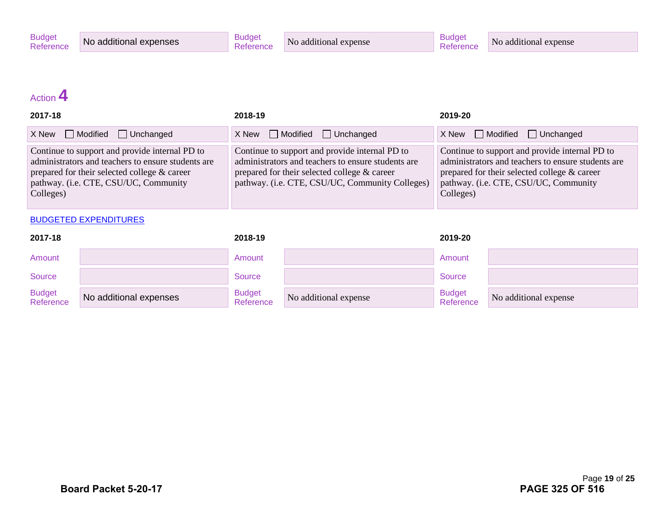## Action **4**

| 2017-18                                                                                                                                                                                                    | 2018-19                                                                                                                                                                                                 | 2019-20                                                                                                                                                                                                    |
|------------------------------------------------------------------------------------------------------------------------------------------------------------------------------------------------------------|---------------------------------------------------------------------------------------------------------------------------------------------------------------------------------------------------------|------------------------------------------------------------------------------------------------------------------------------------------------------------------------------------------------------------|
| $\Box$ Modified $\Box$ Unchanged<br>X New                                                                                                                                                                  | $X$ New $\Box$ Modified $\Box$ Unchanged                                                                                                                                                                | $X$ New $\Box$ Modified $\Box$ Unchanged                                                                                                                                                                   |
| Continue to support and provide internal PD to<br>administrators and teachers to ensure students are<br>prepared for their selected college & career<br>pathway. (i.e. CTE, CSU/UC, Community<br>Colleges) | Continue to support and provide internal PD to<br>administrators and teachers to ensure students are<br>prepared for their selected college & career<br>pathway. (i.e. CTE, CSU/UC, Community Colleges) | Continue to support and provide internal PD to<br>administrators and teachers to ensure students are<br>prepared for their selected college & career<br>pathway. (i.e. CTE, CSU/UC, Community<br>Colleges) |

| 2017-18                    |                        | 2018-19                    |                       | 2019-20                    |                       |
|----------------------------|------------------------|----------------------------|-----------------------|----------------------------|-----------------------|
| Amount                     |                        | Amount                     |                       | Amount                     |                       |
| Source                     |                        | Source                     |                       | Source                     |                       |
| <b>Budget</b><br>Reference | No additional expenses | <b>Budget</b><br>Reference | No additional expense | <b>Budget</b><br>Reference | No additional expense |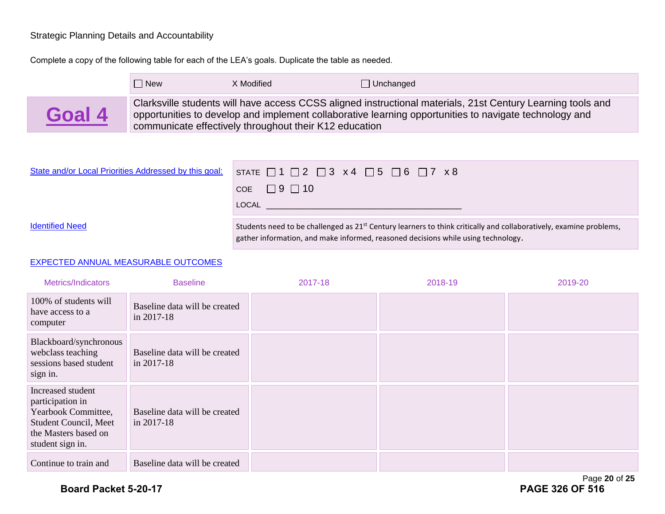#### Strategic Planning Details and Accountability

Complete a copy of the following table for each of the LEA's goals. Duplicate the table as needed.



| State and/or Local Priorities Addressed by this goal: | STATE $\Box$ 1 $\Box$ 2 $\Box$ 3 x 4 $\Box$ 5 $\Box$ 6 $\Box$ 7 x 8                                                                                                                                                 |
|-------------------------------------------------------|---------------------------------------------------------------------------------------------------------------------------------------------------------------------------------------------------------------------|
|                                                       | COE $\Box$ 9 $\Box$ 10                                                                                                                                                                                              |
|                                                       | LOCAL                                                                                                                                                                                                               |
| <b>Identified Need</b>                                | Students need to be challenged as 21 <sup>st</sup> Century learners to think critically and collaboratively, examine problems,<br>gather information, and make informed, reasoned decisions while using technology. |

#### EXPECTED ANNUAL MEASURABLE OUTCOMES

| Metrics/Indicators                                                                                                                | <b>Baseline</b>                                  | 2017-18 | 2018-19 | 2019-20 |
|-----------------------------------------------------------------------------------------------------------------------------------|--------------------------------------------------|---------|---------|---------|
| 100% of students will<br>have access to a<br>computer                                                                             | Baseline data will be created<br>in 2017-18      |         |         |         |
| Blackboard/synchronous<br>webclass teaching<br>sessions based student<br>sign in.                                                 | Baseline data will be created<br>$\ln 2017 - 18$ |         |         |         |
| Increased student<br>participation in<br>Yearbook Committee,<br>Student Council, Meet<br>the Masters based on<br>student sign in. | Baseline data will be created<br>$\ln 2017 - 18$ |         |         |         |
| Continue to train and                                                                                                             | Baseline data will be created                    |         |         |         |

Page **20** of **25**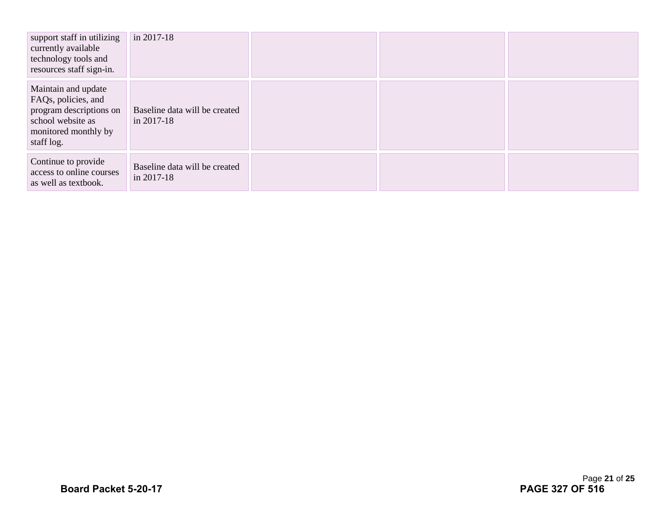| support staff in utilizing<br>currently available<br>technology tools and<br>resources staff sign-in.                            | in 2017-18                                  |  |  |
|----------------------------------------------------------------------------------------------------------------------------------|---------------------------------------------|--|--|
| Maintain and update<br>FAQs, policies, and<br>program descriptions on<br>school website as<br>monitored monthly by<br>staff log. | Baseline data will be created<br>in 2017-18 |  |  |
| Continue to provide<br>access to online courses<br>as well as textbook.                                                          | Baseline data will be created<br>in 2017-18 |  |  |

Page **21** of **25**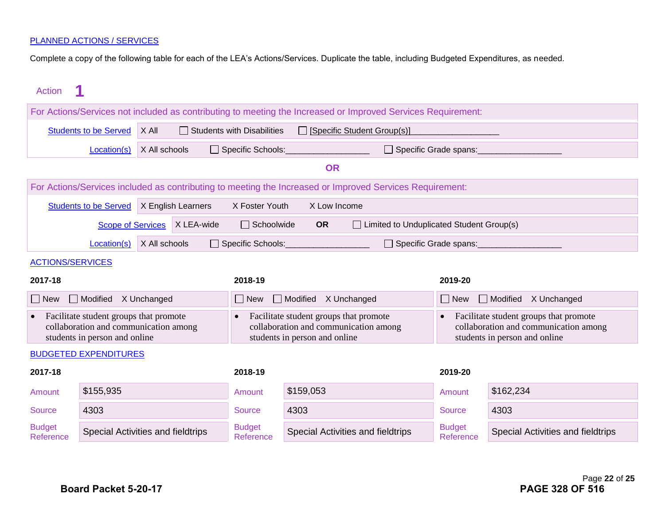Complete a copy of the following table for each of the LEA's Actions/Services. Duplicate the table, including Budgeted Expenditures, as needed.

| Action                                                                                                                        |                                                                                                           |                                                                                                                  |                      |                                                                                                                  |                                   |                                                                                                          |                            |                                   |
|-------------------------------------------------------------------------------------------------------------------------------|-----------------------------------------------------------------------------------------------------------|------------------------------------------------------------------------------------------------------------------|----------------------|------------------------------------------------------------------------------------------------------------------|-----------------------------------|----------------------------------------------------------------------------------------------------------|----------------------------|-----------------------------------|
| For Actions/Services not included as contributing to meeting the Increased or Improved Services Requirement:                  |                                                                                                           |                                                                                                                  |                      |                                                                                                                  |                                   |                                                                                                          |                            |                                   |
|                                                                                                                               | <b>Students to be Served</b><br>X All<br>$\Box$ Students with Disabilities<br>[Specific Student Group(s)] |                                                                                                                  |                      |                                                                                                                  |                                   |                                                                                                          |                            |                                   |
|                                                                                                                               | X All schools<br>$\Box$ Specific Schools:<br>$\Box$ Specific Grade spans:<br>Location(s)                  |                                                                                                                  |                      |                                                                                                                  |                                   |                                                                                                          |                            |                                   |
|                                                                                                                               |                                                                                                           |                                                                                                                  |                      |                                                                                                                  | <b>OR</b>                         |                                                                                                          |                            |                                   |
|                                                                                                                               |                                                                                                           |                                                                                                                  |                      |                                                                                                                  |                                   | For Actions/Services included as contributing to meeting the Increased or Improved Services Requirement: |                            |                                   |
|                                                                                                                               | <b>Students to be Served</b>                                                                              |                                                                                                                  | X English Learners   | X Foster Youth                                                                                                   | X Low Income                      |                                                                                                          |                            |                                   |
|                                                                                                                               | <b>Scope of Services</b>                                                                                  |                                                                                                                  | X LEA-wide           | $\Box$ Schoolwide                                                                                                | <b>OR</b>                         | $\Box$ Limited to Unduplicated Student Group(s)                                                          |                            |                                   |
|                                                                                                                               | Location(s)                                                                                               | X All schools                                                                                                    |                      | Specific Schools:                                                                                                |                                   | $\Box$ Specific Grade spans:                                                                             |                            |                                   |
| <b>ACTIONS/SERVICES</b>                                                                                                       |                                                                                                           |                                                                                                                  |                      |                                                                                                                  |                                   |                                                                                                          |                            |                                   |
| 2017-18                                                                                                                       |                                                                                                           |                                                                                                                  |                      | 2018-19                                                                                                          |                                   |                                                                                                          | 2019-20                    |                                   |
| Modified X Unchanged<br>$\vert$ New                                                                                           |                                                                                                           | $\sqcap$ New                                                                                                     | Modified X Unchanged |                                                                                                                  | $\Box$ New                        | Modified X Unchanged                                                                                     |                            |                                   |
| Facilitate student groups that promote<br>$\bullet$<br>collaboration and communication among<br>students in person and online |                                                                                                           | Facilitate student groups that promote<br>collaboration and communication among<br>students in person and online |                      | Facilitate student groups that promote<br>collaboration and communication among<br>students in person and online |                                   |                                                                                                          |                            |                                   |
|                                                                                                                               | <b>BUDGETED EXPENDITURES</b>                                                                              |                                                                                                                  |                      |                                                                                                                  |                                   |                                                                                                          |                            |                                   |
| 2017-18                                                                                                                       |                                                                                                           | 2018-19                                                                                                          |                      |                                                                                                                  | 2019-20                           |                                                                                                          |                            |                                   |
| Amount                                                                                                                        | \$155,935                                                                                                 |                                                                                                                  |                      | Amount                                                                                                           | \$159,053                         |                                                                                                          | Amount                     | \$162,234                         |
| <b>Source</b>                                                                                                                 | 4303                                                                                                      |                                                                                                                  |                      | <b>Source</b>                                                                                                    | 4303                              |                                                                                                          | <b>Source</b>              | 4303                              |
| <b>Budget</b><br>Reference                                                                                                    | Special Activities and fieldtrips                                                                         |                                                                                                                  |                      | <b>Budget</b><br>Reference                                                                                       | Special Activities and fieldtrips |                                                                                                          | <b>Budget</b><br>Reference | Special Activities and fieldtrips |
|                                                                                                                               |                                                                                                           |                                                                                                                  |                      |                                                                                                                  |                                   |                                                                                                          |                            |                                   |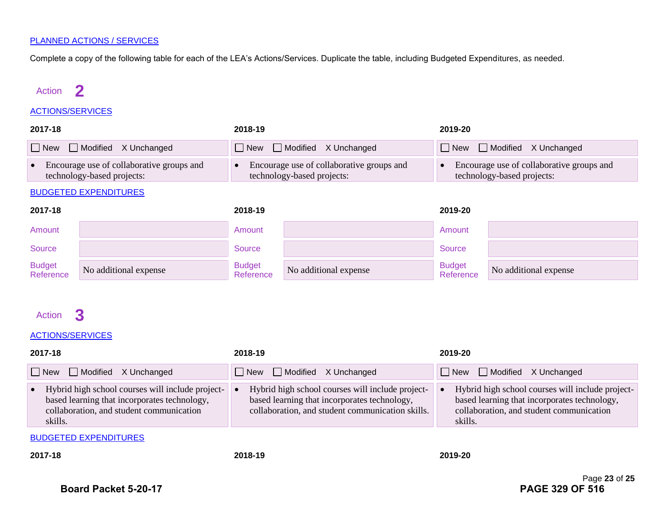Complete a copy of the following table for each of the LEA's Actions/Services. Duplicate the table, including Budgeted Expenditures, as needed.

### Action **2**

#### ACTIONS/SERVICES

| 2017-18                                                                 |                          | 2018-19                                                                 | 2019-20                                                                 |  |
|-------------------------------------------------------------------------|--------------------------|-------------------------------------------------------------------------|-------------------------------------------------------------------------|--|
|                                                                         | New Modified X Unchanged | $\Box$ New $\Box$ Modified X Unchanged                                  | <b>New</b> Modified X Unchanged                                         |  |
| Encourage use of collaborative groups and<br>technology-based projects: |                          | Encourage use of collaborative groups and<br>technology-based projects: | Encourage use of collaborative groups and<br>technology-based projects: |  |

#### BUDGETED EXPENDITURES

| 2017-18                    |                       | 2018-19                    |                       | 2019-20                    |                       |
|----------------------------|-----------------------|----------------------------|-----------------------|----------------------------|-----------------------|
| Amount                     |                       | Amount                     |                       | Amount                     |                       |
| Source                     |                       | Source                     |                       | Source                     |                       |
| <b>Budget</b><br>Reference | No additional expense | <b>Budget</b><br>Reference | No additional expense | <b>Budget</b><br>Reference | No additional expense |

### Action **3**

#### ACTIONS/SERVICES

| 2017-18                                                                                                                                                              | 2018-19                                                                                                                                              | 2019-20                                                                                                                                                 |  |
|----------------------------------------------------------------------------------------------------------------------------------------------------------------------|------------------------------------------------------------------------------------------------------------------------------------------------------|---------------------------------------------------------------------------------------------------------------------------------------------------------|--|
| New Modified X Unchanged                                                                                                                                             | $\Box$ New $\Box$ Modified X Unchanged                                                                                                               | New Modified X Unchanged                                                                                                                                |  |
| Hybrid high school courses will include project-<br>$\bullet$<br>based learning that incorporates technology,<br>collaboration, and student communication<br>skills. | Hybrid high school courses will include project-<br>based learning that incorporates technology,<br>collaboration, and student communication skills. | Hybrid high school courses will include project-<br>based learning that incorporates technology,<br>collaboration, and student communication<br>skills. |  |
| <b>BUDGETED EXPENDITURES</b>                                                                                                                                         |                                                                                                                                                      |                                                                                                                                                         |  |

**2017-18 2018-19 2019-20**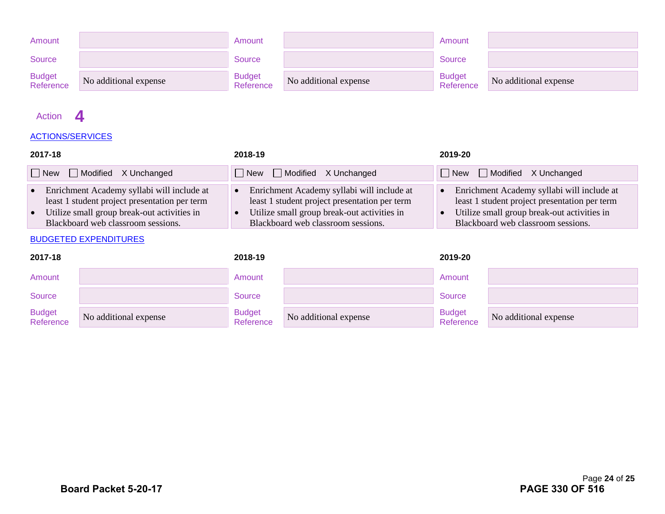| Amount                     |                       | Amount                     |                       | Amount                     |                       |
|----------------------------|-----------------------|----------------------------|-----------------------|----------------------------|-----------------------|
| <b>Source</b>              |                       | <b>Source</b>              |                       | Source                     |                       |
| <b>Budget</b><br>Reference | No additional expense | <b>Budget</b><br>Reference | No additional expense | <b>Budget</b><br>Reference | No additional expense |

### Action **4**

#### ACTIONS/SERVICES

| 2017-18                                                                                                                                                                              | 2018-19                                                                                                                                                                          | 2019-20                                                                                                                                                                          |
|--------------------------------------------------------------------------------------------------------------------------------------------------------------------------------------|----------------------------------------------------------------------------------------------------------------------------------------------------------------------------------|----------------------------------------------------------------------------------------------------------------------------------------------------------------------------------|
| $\Box$ New $\Box$ Modified X Unchanged                                                                                                                                               | $\Box$ New $\Box$ Modified X Unchanged                                                                                                                                           | $\Box$ New $\Box$ Modified X Unchanged                                                                                                                                           |
| • Enrichment Academy syllabi will include at<br>least 1 student project presentation per term<br>• Utilize small group break-out activities in<br>Blackboard web classroom sessions. | Enrichment Academy syllabi will include at<br>least 1 student project presentation per term<br>Utilize small group break-out activities in<br>Blackboard web classroom sessions. | Enrichment Academy syllabi will include at<br>least 1 student project presentation per term<br>Utilize small group break-out activities in<br>Blackboard web classroom sessions. |

| 2017-18             |                       | 2018-19                    |                       | 2019-20                    |                       |
|---------------------|-----------------------|----------------------------|-----------------------|----------------------------|-----------------------|
| Amount              |                       | Amount                     |                       | Amount                     |                       |
| Source              |                       | Source                     |                       | Source                     |                       |
| Budget<br>Reference | No additional expense | <b>Budget</b><br>Reference | No additional expense | <b>Budget</b><br>Reference | No additional expense |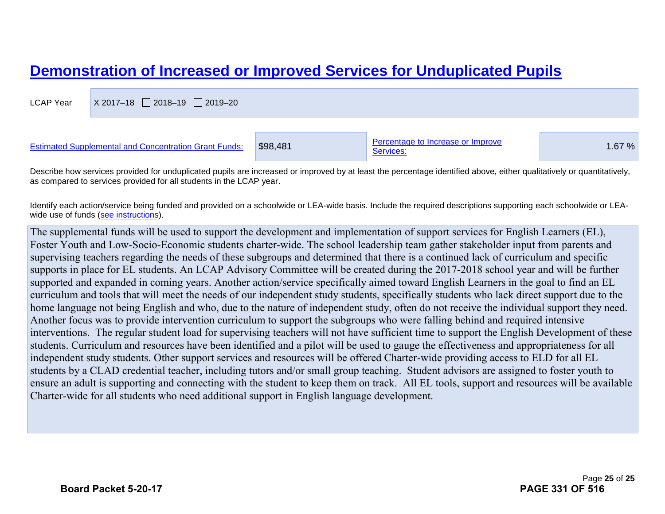## **Demonstration of Increased or Improved Services for Unduplicated Pupils**

| <b>LCAP Year</b> | X 2017-18 2018-19 2019-20                                    |          |                                                |        |
|------------------|--------------------------------------------------------------|----------|------------------------------------------------|--------|
|                  |                                                              |          |                                                |        |
|                  | <b>Estimated Supplemental and Concentration Grant Funds:</b> | \$98,481 | Percentage to Increase or Improve<br>Services: | 1.67 % |

Describe how services provided for unduplicated pupils are increased or improved by at least the percentage identified above, either qualitatively or quantitatively, as compared to services provided for all students in the LCAP year.

Identify each action/service being funded and provided on a schoolwide or LEA-wide basis. Include the required descriptions supporting each schoolwide or LEAwide use of funds (see instructions).

The supplemental funds will be used to support the development and implementation of support services for English Learners (EL), Foster Youth and Low-Socio-Economic students charter-wide. The school leadership team gather stakeholder input from parents and supervising teachers regarding the needs of these subgroups and determined that there is a continued lack of curriculum and specific supports in place for EL students. An LCAP Advisory Committee will be created during the 2017-2018 school year and will be further supported and expanded in coming years. Another action/service specifically aimed toward English Learners in the goal to find an EL curriculum and tools that will meet the needs of our independent study students, specifically students who lack direct support due to the home language not being English and who, due to the nature of independent study, often do not receive the individual support they need. Another focus was to provide intervention curriculum to support the subgroups who were falling behind and required intensive interventions. The regular student load for supervising teachers will not have sufficient time to support the English Development of these students. Curriculum and resources have been identified and a pilot will be used to gauge the effectiveness and appropriateness for all independent study students. Other support services and resources will be offered Charter-wide providing access to ELD for all EL students by a CLAD credential teacher, including tutors and/or small group teaching. Student advisors are assigned to foster youth to ensure an adult is supporting and connecting with the student to keep them on track. All EL tools, support and resources will be available Charter-wide for all students who need additional support in English language development.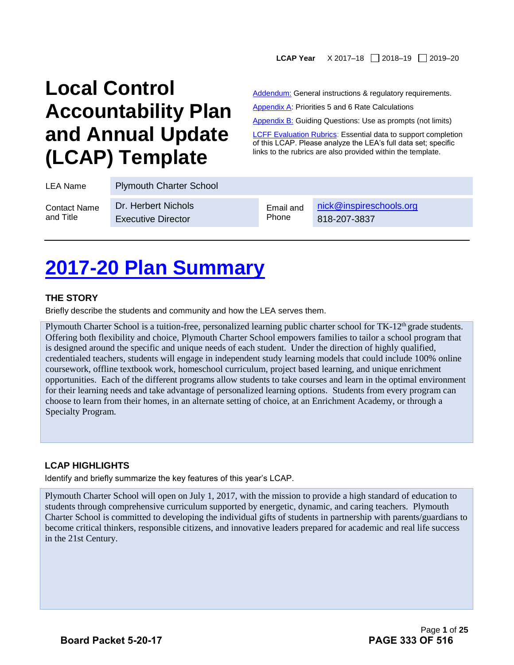#### LCAP Year X 2017-18 2018-19 2019-20

## **Local Control Accountability Plan and Annual Update (LCAP) Template**

Addendum: General instructions & regulatory requirements.

Appendix A: Priorities 5 and 6 Rate Calculations

Appendix B: Guiding Questions: Use as prompts (not limits)

**[LCFF Evaluation Rubrics:](https://www.caschooldashboard.org/#/Home) Essential data to support completion** of this LCAP. Please analyze the LEA's full data set; specific links to the rubrics are also provided within the template.

| LEA Name            | <b>Plymouth Charter School</b> |           |                         |
|---------------------|--------------------------------|-----------|-------------------------|
| <b>Contact Name</b> | Dr. Herbert Nichols            | Email and | nick@inspireschools.org |
| and Title           | <b>Executive Director</b>      | Phone     | 818-207-3837            |

## **2017-20 Plan Summary**

#### **THE STORY**

Briefly describe the students and community and how the LEA serves them.

Plymouth Charter School is a tuition-free, personalized learning public charter school for TK-12<sup>th</sup> grade students. Offering both flexibility and choice, Plymouth Charter School empowers families to tailor a school program that is designed around the specific and unique needs of each student. Under the direction of highly qualified, credentialed teachers, students will engage in independent study learning models that could include 100% online coursework, offline textbook work, homeschool curriculum, project based learning, and unique enrichment opportunities. Each of the different programs allow students to take courses and learn in the optimal environment for their learning needs and take advantage of personalized learning options. Students from every program can choose to learn from their homes, in an alternate setting of choice, at an Enrichment Academy, or through a Specialty Program.

#### **LCAP HIGHLIGHTS**

Identify and briefly summarize the key features of this year's LCAP.

Plymouth Charter School will open on July 1, 2017, with the mission to provide a high standard of education to students through comprehensive curriculum supported by energetic, dynamic, and caring teachers. Plymouth Charter School is committed to developing the individual gifts of students in partnership with parents/guardians to become critical thinkers, responsible citizens, and innovative leaders prepared for academic and real life success in the 21st Century.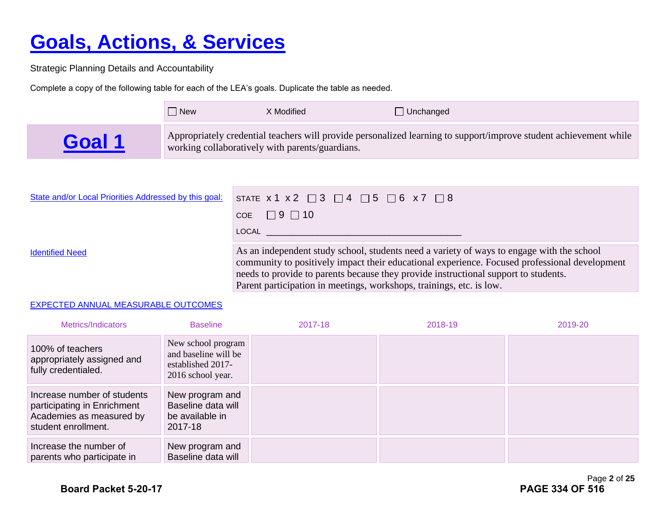# **Goals, Actions, & Services**

Strategic Planning Details and Accountability

Complete a copy of the following table for each of the LEA's goals. Duplicate the table as needed.

|      | l New | X Modified                                      | $\Box$ Unchanged                                                                                                  |
|------|-------|-------------------------------------------------|-------------------------------------------------------------------------------------------------------------------|
| Goal |       | working collaboratively with parents/guardians. | Appropriately credential teachers will provide personalized learning to support/improve student achievement while |

| State and/or Local Priorities Addressed by this goal: | STATE $x1 x2 \square 3 \square 4 \square 5 \square 6 x7 \square 8$                                                                                                                                                                                                                |
|-------------------------------------------------------|-----------------------------------------------------------------------------------------------------------------------------------------------------------------------------------------------------------------------------------------------------------------------------------|
|                                                       | COE $\Box$ 9 $\Box$ 10                                                                                                                                                                                                                                                            |
|                                                       | LOCAL                                                                                                                                                                                                                                                                             |
| <b>Identified Need</b>                                | As an independent study school, students need a variety of ways to engage with the school<br>community to positively impact their educational experience. Focused professional development<br>needs to provide to parents because they provide instructional support to students. |

Parent participation in meetings, workshops, trainings, etc. is low.

#### EXPECTED ANNUAL MEASURABLE OUTCOMES

| Metrics/Indicators                                                                                            | <b>Baseline</b>                                                                      | 2017-18 | 2018-19 | 2019-20 |
|---------------------------------------------------------------------------------------------------------------|--------------------------------------------------------------------------------------|---------|---------|---------|
| 100% of teachers<br>appropriately assigned and<br>fully credentialed.                                         | New school program<br>and baseline will be<br>established 2017-<br>2016 school year. |         |         |         |
| Increase number of students<br>participating in Enrichment<br>Academies as measured by<br>student enrollment. | New program and<br>Baseline data will<br>be available in<br>2017-18                  |         |         |         |
| Increase the number of<br>parents who participate in                                                          | New program and<br>Baseline data will                                                |         |         |         |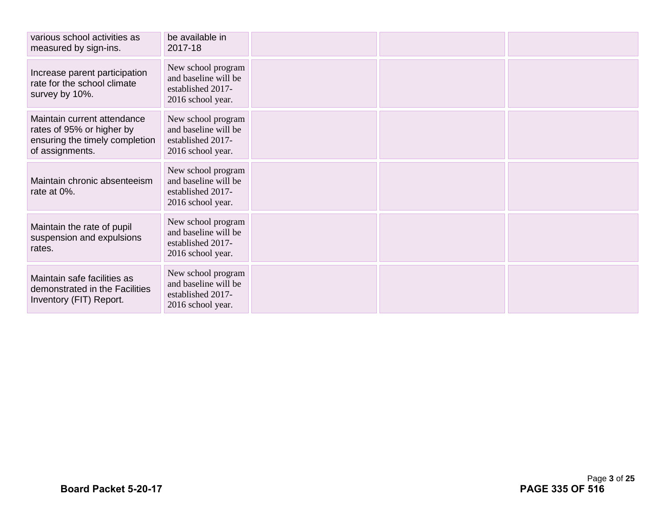| various school activities as<br>measured by sign-ins.                                                         | be available in<br>2017-18                                                           |  |  |
|---------------------------------------------------------------------------------------------------------------|--------------------------------------------------------------------------------------|--|--|
| Increase parent participation<br>rate for the school climate<br>survey by 10%.                                | New school program<br>and baseline will be<br>established 2017-<br>2016 school year. |  |  |
| Maintain current attendance<br>rates of 95% or higher by<br>ensuring the timely completion<br>of assignments. | New school program<br>and baseline will be<br>established 2017-<br>2016 school year. |  |  |
| Maintain chronic absenteeism<br>rate at 0%.                                                                   | New school program<br>and baseline will be<br>established 2017-<br>2016 school year. |  |  |
| Maintain the rate of pupil<br>suspension and expulsions<br>rates.                                             | New school program<br>and baseline will be<br>established 2017-<br>2016 school year. |  |  |
| Maintain safe facilities as<br>demonstrated in the Facilities<br>Inventory (FIT) Report.                      | New school program<br>and baseline will be<br>established 2017-<br>2016 school year. |  |  |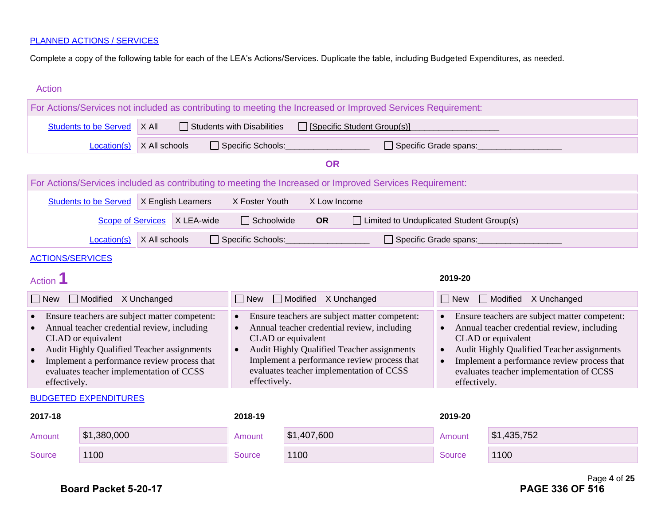Complete a copy of the following table for each of the LEA's Actions/Services. Duplicate the table, including Budgeted Expenditures, as needed.

| <b>Action</b>                                                                                                                                                                                                                                                                                         |                              |                                                                                                                                                                                                                                                                                                                                                                                    |                    |                                   |                                                                                                                                                                                                                                       |                                                                                                          |               |              |
|-------------------------------------------------------------------------------------------------------------------------------------------------------------------------------------------------------------------------------------------------------------------------------------------------------|------------------------------|------------------------------------------------------------------------------------------------------------------------------------------------------------------------------------------------------------------------------------------------------------------------------------------------------------------------------------------------------------------------------------|--------------------|-----------------------------------|---------------------------------------------------------------------------------------------------------------------------------------------------------------------------------------------------------------------------------------|----------------------------------------------------------------------------------------------------------|---------------|--------------|
| For Actions/Services not included as contributing to meeting the Increased or Improved Services Requirement:                                                                                                                                                                                          |                              |                                                                                                                                                                                                                                                                                                                                                                                    |                    |                                   |                                                                                                                                                                                                                                       |                                                                                                          |               |              |
|                                                                                                                                                                                                                                                                                                       | <b>Students to be Served</b> | X All                                                                                                                                                                                                                                                                                                                                                                              |                    | <b>Students with Disabilities</b> |                                                                                                                                                                                                                                       | Specific Student Group(s)]                                                                               |               |              |
|                                                                                                                                                                                                                                                                                                       | Location(s)                  | X All schools                                                                                                                                                                                                                                                                                                                                                                      |                    | Specific Schools:                 |                                                                                                                                                                                                                                       | Specific Grade spans:                                                                                    |               |              |
|                                                                                                                                                                                                                                                                                                       |                              |                                                                                                                                                                                                                                                                                                                                                                                    |                    |                                   | <b>OR</b>                                                                                                                                                                                                                             |                                                                                                          |               |              |
|                                                                                                                                                                                                                                                                                                       |                              |                                                                                                                                                                                                                                                                                                                                                                                    |                    |                                   |                                                                                                                                                                                                                                       | For Actions/Services included as contributing to meeting the Increased or Improved Services Requirement: |               |              |
|                                                                                                                                                                                                                                                                                                       | <b>Students to be Served</b> |                                                                                                                                                                                                                                                                                                                                                                                    | X English Learners | X Foster Youth                    | X Low Income                                                                                                                                                                                                                          |                                                                                                          |               |              |
|                                                                                                                                                                                                                                                                                                       | <b>Scope of Services</b>     |                                                                                                                                                                                                                                                                                                                                                                                    | X LEA-wide         | $\Box$ Schoolwide                 | <b>OR</b>                                                                                                                                                                                                                             | □ Limited to Unduplicated Student Group(s)                                                               |               |              |
|                                                                                                                                                                                                                                                                                                       | Location(s)                  | X All schools                                                                                                                                                                                                                                                                                                                                                                      |                    | Specific Schools:                 |                                                                                                                                                                                                                                       | □ Specific Grade spans:                                                                                  |               |              |
| <b>ACTIONS/SERVICES</b>                                                                                                                                                                                                                                                                               |                              |                                                                                                                                                                                                                                                                                                                                                                                    |                    |                                   |                                                                                                                                                                                                                                       |                                                                                                          |               |              |
| <b>Action</b>                                                                                                                                                                                                                                                                                         |                              |                                                                                                                                                                                                                                                                                                                                                                                    |                    |                                   |                                                                                                                                                                                                                                       |                                                                                                          | 2019-20       |              |
| $\Box$ New                                                                                                                                                                                                                                                                                            | Modified X Unchanged         |                                                                                                                                                                                                                                                                                                                                                                                    |                    | $\Box$ New                        | Modified X Unchanged<br>Modified X Unchanged<br>$\Box$ New                                                                                                                                                                            |                                                                                                          |               |              |
| Ensure teachers are subject matter competent:<br>Annual teacher credential review, including<br>CLAD or equivalent<br>Audit Highly Qualified Teacher assignments<br>$\bullet$<br>Implement a performance review process that<br>$\bullet$<br>evaluates teacher implementation of CCSS<br>effectively. |                              | Ensure teachers are subject matter competent:<br>$\bullet$<br>$\bullet$<br>Annual teacher credential review, including<br>$\bullet$<br>CLAD or equivalent<br>CLAD or equivalent<br>Audit Highly Qualified Teacher assignments<br>$\bullet$<br>Implement a performance review process that<br>$\bullet$<br>evaluates teacher implementation of CCSS<br>effectively.<br>effectively. |                    |                                   | Ensure teachers are subject matter competent:<br>Annual teacher credential review, including<br>Audit Highly Qualified Teacher assignments<br>Implement a performance review process that<br>evaluates teacher implementation of CCSS |                                                                                                          |               |              |
|                                                                                                                                                                                                                                                                                                       | <b>BUDGETED EXPENDITURES</b> |                                                                                                                                                                                                                                                                                                                                                                                    |                    |                                   |                                                                                                                                                                                                                                       |                                                                                                          |               |              |
| 2017-18                                                                                                                                                                                                                                                                                               |                              |                                                                                                                                                                                                                                                                                                                                                                                    |                    | 2018-19                           |                                                                                                                                                                                                                                       |                                                                                                          | 2019-20       |              |
| Amount                                                                                                                                                                                                                                                                                                | \$1,380,000                  |                                                                                                                                                                                                                                                                                                                                                                                    |                    | Amount                            | \$1,407,600                                                                                                                                                                                                                           |                                                                                                          | Amount        | \$1,435,752  |
| <b>Source</b>                                                                                                                                                                                                                                                                                         | 1100                         |                                                                                                                                                                                                                                                                                                                                                                                    |                    | <b>Source</b>                     | 1100                                                                                                                                                                                                                                  |                                                                                                          | <b>Source</b> | 1100         |
|                                                                                                                                                                                                                                                                                                       |                              |                                                                                                                                                                                                                                                                                                                                                                                    |                    |                                   |                                                                                                                                                                                                                                       |                                                                                                          |               | Page 4 of 25 |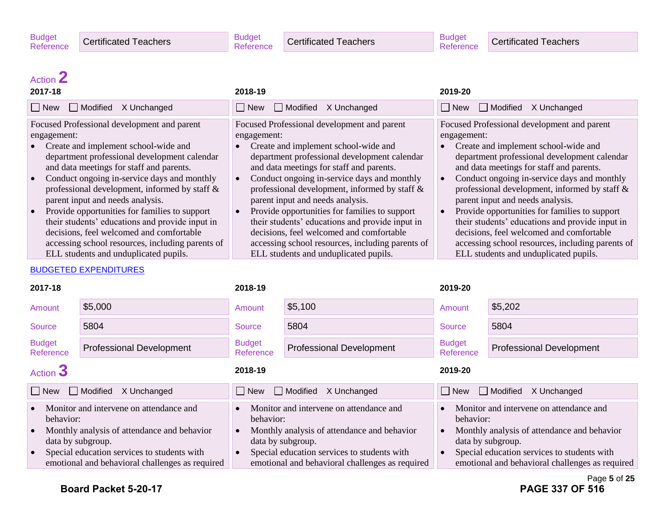**Certificated Teachers** 

## Action **2**

| Modified X Unchanged<br>$\Box$ New<br>$\Box$ New<br>$\Box$ Modified                                                                                                                                                                                                                                                                                                                                                                                                                                                                                                                                                                                                                                                                                                                                                                                                                                                                                                                                                                                                                                                                                                                          | $\Box$ New<br>Modified X Unchanged<br>X Unchanged                                                                                                                                                                                                                                                                                                                                                                                                                                                                                                                               |
|----------------------------------------------------------------------------------------------------------------------------------------------------------------------------------------------------------------------------------------------------------------------------------------------------------------------------------------------------------------------------------------------------------------------------------------------------------------------------------------------------------------------------------------------------------------------------------------------------------------------------------------------------------------------------------------------------------------------------------------------------------------------------------------------------------------------------------------------------------------------------------------------------------------------------------------------------------------------------------------------------------------------------------------------------------------------------------------------------------------------------------------------------------------------------------------------|---------------------------------------------------------------------------------------------------------------------------------------------------------------------------------------------------------------------------------------------------------------------------------------------------------------------------------------------------------------------------------------------------------------------------------------------------------------------------------------------------------------------------------------------------------------------------------|
|                                                                                                                                                                                                                                                                                                                                                                                                                                                                                                                                                                                                                                                                                                                                                                                                                                                                                                                                                                                                                                                                                                                                                                                              |                                                                                                                                                                                                                                                                                                                                                                                                                                                                                                                                                                                 |
| Focused Professional development and parent<br>Focused Professional development and parent<br>engagement:<br>engagement:<br>Create and implement school-wide and<br>Create and implement school-wide and<br>department professional development calendar<br>department professional development calendar<br>and data meetings for staff and parents.<br>and data meetings for staff and parents.<br>Conduct ongoing in-service days and monthly<br>Conduct ongoing in-service days and monthly<br>$\bullet$<br>professional development, informed by staff &<br>professional development, informed by staff &<br>parent input and needs analysis.<br>parent input and needs analysis.<br>Provide opportunities for families to support<br>Provide opportunities for families to support<br>$\bullet$<br>their students' educations and provide input in<br>their students' educations and provide input in<br>decisions, feel welcomed and comfortable<br>decisions, feel welcomed and comfortable<br>accessing school resources, including parents of<br>accessing school resources, including parents of<br>ELL students and unduplicated pupils.<br>ELL students and unduplicated pupils. | Focused Professional development and parent<br>engagement:<br>Create and implement school-wide and<br>department professional development calendar<br>and data meetings for staff and parents.<br>Conduct ongoing in-service days and monthly<br>professional development, informed by staff &<br>parent input and needs analysis.<br>Provide opportunities for families to support<br>their students' educations and provide input in<br>decisions, feel welcomed and comfortable<br>accessing school resources, including parents of<br>ELL students and unduplicated pupils. |

| 2017-18                                                                                                                                                                                                                    |                                 | 2018-19                                                                                                                                                                                                                    |                                 | 2019-20                                                                                                                                                                                                                    |                                 |
|----------------------------------------------------------------------------------------------------------------------------------------------------------------------------------------------------------------------------|---------------------------------|----------------------------------------------------------------------------------------------------------------------------------------------------------------------------------------------------------------------------|---------------------------------|----------------------------------------------------------------------------------------------------------------------------------------------------------------------------------------------------------------------------|---------------------------------|
| Amount                                                                                                                                                                                                                     | \$5,000                         | Amount                                                                                                                                                                                                                     | \$5,100                         | Amount                                                                                                                                                                                                                     | \$5,202                         |
| Source                                                                                                                                                                                                                     | 5804                            | Source                                                                                                                                                                                                                     | 5804                            | Source                                                                                                                                                                                                                     | 5804                            |
| <b>Budget</b><br>Reference                                                                                                                                                                                                 | <b>Professional Development</b> | <b>Budget</b><br>Reference                                                                                                                                                                                                 | <b>Professional Development</b> | <b>Budget</b><br>Reference                                                                                                                                                                                                 | <b>Professional Development</b> |
| Action 3                                                                                                                                                                                                                   |                                 | 2018-19                                                                                                                                                                                                                    |                                 | 2019-20                                                                                                                                                                                                                    |                                 |
| □ Modified<br>$\Box$ New<br>X Unchanged                                                                                                                                                                                    |                                 | Modified<br>$\Box$ New<br>X Unchanged                                                                                                                                                                                      |                                 | $\Box$ Modified<br>$\Box$ New<br>X Unchanged                                                                                                                                                                               |                                 |
| Monitor and intervene on attendance and<br>behavior:<br>Monthly analysis of attendance and behavior<br>data by subgroup.<br>Special education services to students with<br>emotional and behavioral challenges as required |                                 | Monitor and intervene on attendance and<br>behavior:<br>Monthly analysis of attendance and behavior<br>data by subgroup.<br>Special education services to students with<br>emotional and behavioral challenges as required |                                 | Monitor and intervene on attendance and<br>behavior:<br>Monthly analysis of attendance and behavior<br>data by subgroup.<br>Special education services to students with<br>emotional and behavioral challenges as required |                                 |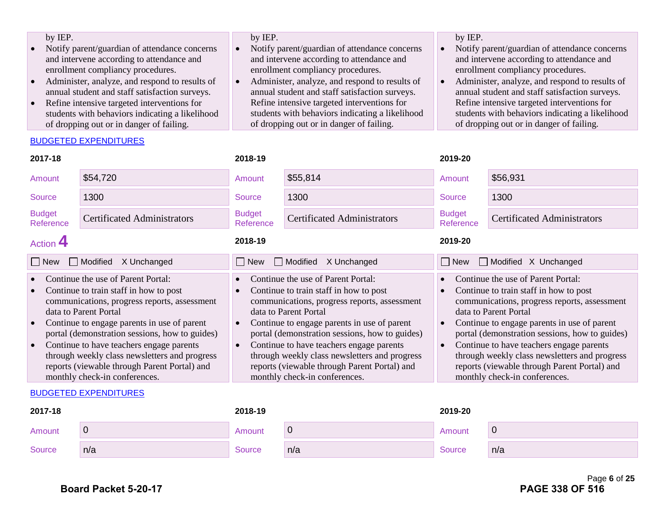| by IEP.                                         | by IEP.                                         | by IEP.                                         |
|-------------------------------------------------|-------------------------------------------------|-------------------------------------------------|
| Notify parent/guardian of attendance concerns   | Notify parent/guardian of attendance concerns   | Notify parent/guardian of attendance concerns   |
| and intervene according to attendance and       | and intervene according to attendance and       | and intervene according to attendance and       |
| enrollment compliancy procedures.               | enrollment compliancy procedures.               | enrollment compliancy procedures.               |
| Administer, analyze, and respond to results of  | Administer, analyze, and respond to results of  | Administer, analyze, and respond to results of  |
| annual student and staff satisfaction surveys.  | annual student and staff satisfaction surveys.  | annual student and staff satisfaction surveys.  |
| Refine intensive targeted interventions for     | Refine intensive targeted interventions for     | Refine intensive targeted interventions for     |
| students with behaviors indicating a likelihood | students with behaviors indicating a likelihood | students with behaviors indicating a likelihood |
| of dropping out or in danger of failing.        | of dropping out or in danger of failing.        | of dropping out or in danger of failing.        |

#### BUDGETED EXPENDITURES

| 2017-18                                                                                                                                                                                                                                                                                                                                                                                                                                                                     |                                    | 2018-19                                                                                                                                                                                                                                                                                                                                                                                                                                                                                  |                                    | 2019-20                                                                                                                                                                                                                                                                                                                                                                                                                              |                                    |  |
|-----------------------------------------------------------------------------------------------------------------------------------------------------------------------------------------------------------------------------------------------------------------------------------------------------------------------------------------------------------------------------------------------------------------------------------------------------------------------------|------------------------------------|------------------------------------------------------------------------------------------------------------------------------------------------------------------------------------------------------------------------------------------------------------------------------------------------------------------------------------------------------------------------------------------------------------------------------------------------------------------------------------------|------------------------------------|--------------------------------------------------------------------------------------------------------------------------------------------------------------------------------------------------------------------------------------------------------------------------------------------------------------------------------------------------------------------------------------------------------------------------------------|------------------------------------|--|
| Amount                                                                                                                                                                                                                                                                                                                                                                                                                                                                      | \$54,720                           | Amount                                                                                                                                                                                                                                                                                                                                                                                                                                                                                   | \$55,814                           | Amount                                                                                                                                                                                                                                                                                                                                                                                                                               | \$56,931                           |  |
| Source                                                                                                                                                                                                                                                                                                                                                                                                                                                                      | 1300                               | Source                                                                                                                                                                                                                                                                                                                                                                                                                                                                                   | 1300                               | <b>Source</b>                                                                                                                                                                                                                                                                                                                                                                                                                        | 1300                               |  |
| <b>Budget</b><br>Reference                                                                                                                                                                                                                                                                                                                                                                                                                                                  | <b>Certificated Administrators</b> | <b>Budget</b><br>Reference                                                                                                                                                                                                                                                                                                                                                                                                                                                               | <b>Certificated Administrators</b> | <b>Budget</b><br>Reference                                                                                                                                                                                                                                                                                                                                                                                                           | <b>Certificated Administrators</b> |  |
| Action 4                                                                                                                                                                                                                                                                                                                                                                                                                                                                    |                                    | 2018-19                                                                                                                                                                                                                                                                                                                                                                                                                                                                                  |                                    | 2019-20                                                                                                                                                                                                                                                                                                                                                                                                                              |                                    |  |
| □ Modified<br>X Unchanged<br>$\Box$ New                                                                                                                                                                                                                                                                                                                                                                                                                                     |                                    | New<br>$\perp$                                                                                                                                                                                                                                                                                                                                                                                                                                                                           | Modified<br>X Unchanged            | Modified X Unchanged<br>$\Box$ New                                                                                                                                                                                                                                                                                                                                                                                                   |                                    |  |
| Continue the use of Parent Portal:<br>Continue to train staff in how to post<br>$\bullet$<br>communications, progress reports, assessment<br>data to Parent Portal<br>Continue to engage parents in use of parent<br>$\bullet$<br>portal (demonstration sessions, how to guides)<br>Continue to have teachers engage parents<br>$\bullet$<br>through weekly class newsletters and progress<br>reports (viewable through Parent Portal) and<br>monthly check-in conferences. |                                    | Continue the use of Parent Portal:<br>$\bullet$<br>Continue to train staff in how to post<br>$\bullet$<br>communications, progress reports, assessment<br>data to Parent Portal<br>Continue to engage parents in use of parent<br>$\bullet$<br>portal (demonstration sessions, how to guides)<br>Continue to have teachers engage parents<br>$\bullet$<br>through weekly class newsletters and progress<br>reports (viewable through Parent Portal) and<br>monthly check-in conferences. |                                    | Continue the use of Parent Portal:<br>Continue to train staff in how to post<br>communications, progress reports, assessment<br>data to Parent Portal<br>Continue to engage parents in use of parent<br>portal (demonstration sessions, how to guides)<br>Continue to have teachers engage parents<br>through weekly class newsletters and progress<br>reports (viewable through Parent Portal) and<br>monthly check-in conferences. |                                    |  |

| 2017-18 |     | 2018-19 |     | 2019-20       |     |
|---------|-----|---------|-----|---------------|-----|
| Amount  | ◡   | Amount  | ັ   | Amount        | ₩.  |
| Source  | n/a | Source  | n/a | <b>Source</b> | n/a |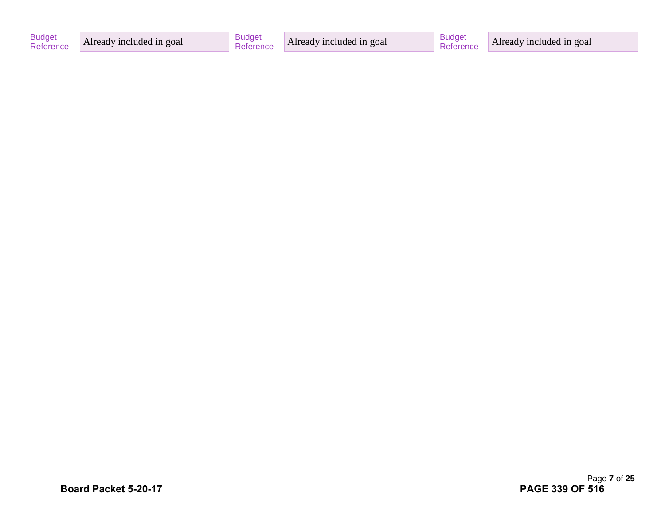| <b>Budget</b><br>Reference | Already included in goal | <b>Budget</b> | Already included in goal | <b>Budge</b> | Already included in goal |
|----------------------------|--------------------------|---------------|--------------------------|--------------|--------------------------|
|----------------------------|--------------------------|---------------|--------------------------|--------------|--------------------------|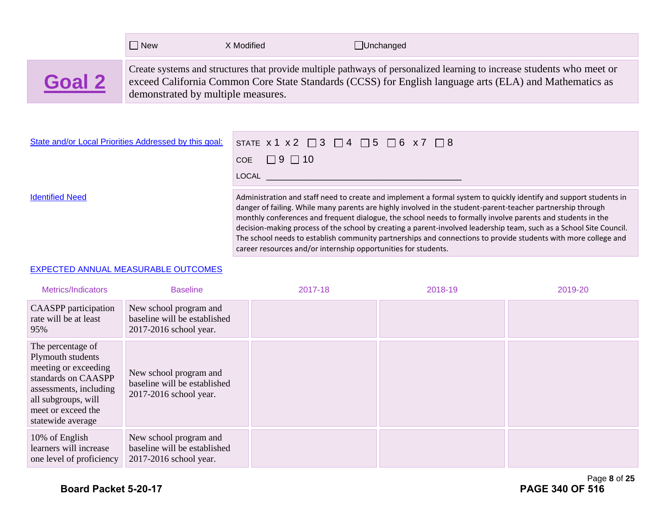|        | $\Box$ New                         | X Modified | $\Box$ Unchanged                                                                                                                                                                                                                  |
|--------|------------------------------------|------------|-----------------------------------------------------------------------------------------------------------------------------------------------------------------------------------------------------------------------------------|
| Goal 2 | demonstrated by multiple measures. |            | Create systems and structures that provide multiple pathways of personalized learning to increase students who meet or<br>exceed California Common Core State Standards (CCSS) for English language arts (ELA) and Mathematics as |

| State and/or Local Priorities Addressed by this goal: | STATE $x 1 x 2 \square 3 \square 4 \square 5 \square 6 x 7 \square 8$                                                                                                                                                                                                                                                                                                                                                                                                  |
|-------------------------------------------------------|------------------------------------------------------------------------------------------------------------------------------------------------------------------------------------------------------------------------------------------------------------------------------------------------------------------------------------------------------------------------------------------------------------------------------------------------------------------------|
|                                                       | COE $\Box$ 9 $\Box$ 10                                                                                                                                                                                                                                                                                                                                                                                                                                                 |
|                                                       | LOCAL                                                                                                                                                                                                                                                                                                                                                                                                                                                                  |
| <b>Identified Need</b>                                | Administration and staff need to create and implement a formal system to quickly identify and support students in<br>danger of failing. While many parents are highly involved in the student-parent-teacher partnership through<br>monthly conferences and frequent dialogue, the school needs to formally involve parents and students in the<br>decision-making process of the school by creating a parent-involved leadership team, such as a School Site Council. |

career resources and/or internship opportunities for students.

The school needs to establish community partnerships and connections to provide students with more college and

#### EXPECTED ANNUAL MEASURABLE OUTCOMES

| Metrics/Indicators                                                                                                                                                                | <b>Baseline</b>                                                                  | 2017-18 | 2018-19 | 2019-20 |
|-----------------------------------------------------------------------------------------------------------------------------------------------------------------------------------|----------------------------------------------------------------------------------|---------|---------|---------|
| <b>CAASPP</b> participation<br>rate will be at least<br>95%                                                                                                                       | New school program and<br>baseline will be established<br>2017-2016 school year. |         |         |         |
| The percentage of<br>Plymouth students<br>meeting or exceeding<br>standards on CAASPP<br>assessments, including<br>all subgroups, will<br>meet or exceed the<br>statewide average | New school program and<br>baseline will be established<br>2017-2016 school year. |         |         |         |
| 10% of English<br>learners will increase<br>one level of proficiency                                                                                                              | New school program and<br>baseline will be established<br>2017-2016 school year. |         |         |         |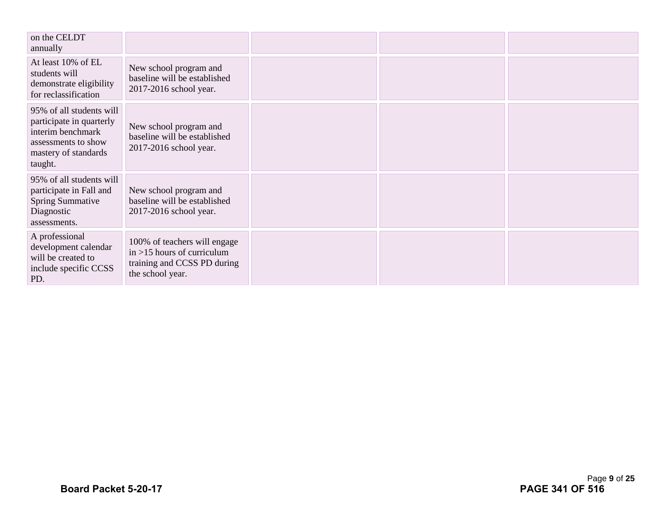| on the CELDT<br>annually                                                                                                            |                                                                                                                  |  |  |
|-------------------------------------------------------------------------------------------------------------------------------------|------------------------------------------------------------------------------------------------------------------|--|--|
| At least 10% of EL<br>students will<br>demonstrate eligibility<br>for reclassification                                              | New school program and<br>baseline will be established<br>2017-2016 school year.                                 |  |  |
| 95% of all students will<br>participate in quarterly<br>interim benchmark<br>assessments to show<br>mastery of standards<br>taught. | New school program and<br>baseline will be established<br>2017-2016 school year.                                 |  |  |
| 95% of all students will<br>participate in Fall and<br><b>Spring Summative</b><br>Diagnostic<br>assessments.                        | New school program and<br>baseline will be established<br>2017-2016 school year.                                 |  |  |
| A professional<br>development calendar<br>will be created to<br>include specific CCSS<br>PD.                                        | 100% of teachers will engage<br>$in > 15$ hours of curriculum<br>training and CCSS PD during<br>the school year. |  |  |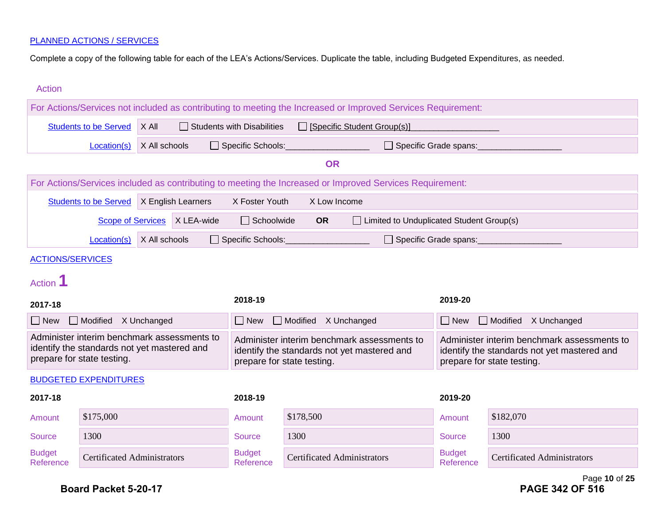Complete a copy of the following table for each of the LEA's Actions/Services. Duplicate the table, including Budgeted Expenditures, as needed.

| <b>Action</b>                                                                                                            |                                    |                                                                    |                                                                                                                          |                                   |                                                                                                                          |                                                                                                              |                            |                                    |
|--------------------------------------------------------------------------------------------------------------------------|------------------------------------|--------------------------------------------------------------------|--------------------------------------------------------------------------------------------------------------------------|-----------------------------------|--------------------------------------------------------------------------------------------------------------------------|--------------------------------------------------------------------------------------------------------------|----------------------------|------------------------------------|
|                                                                                                                          |                                    |                                                                    |                                                                                                                          |                                   |                                                                                                                          | For Actions/Services not included as contributing to meeting the Increased or Improved Services Requirement: |                            |                                    |
|                                                                                                                          | <b>Students to be Served</b>       | X All                                                              |                                                                                                                          | $\Box$ Students with Disabilities |                                                                                                                          | $\Box$ [Specific Student Group(s)]                                                                           |                            |                                    |
|                                                                                                                          | Location(s)                        | X All schools<br>Specific Schools:<br>$\Box$ Specific Grade spans: |                                                                                                                          |                                   |                                                                                                                          |                                                                                                              |                            |                                    |
|                                                                                                                          |                                    |                                                                    |                                                                                                                          |                                   | <b>OR</b>                                                                                                                |                                                                                                              |                            |                                    |
|                                                                                                                          |                                    |                                                                    |                                                                                                                          |                                   |                                                                                                                          | For Actions/Services included as contributing to meeting the Increased or Improved Services Requirement:     |                            |                                    |
|                                                                                                                          | <b>Students to be Served</b>       |                                                                    | X English Learners                                                                                                       | X Foster Youth                    | X Low Income                                                                                                             |                                                                                                              |                            |                                    |
|                                                                                                                          | <b>Scope of Services</b>           |                                                                    | X LEA-wide                                                                                                               | $\Box$ Schoolwide                 | <b>OR</b>                                                                                                                | □ Limited to Unduplicated Student Group(s)                                                                   |                            |                                    |
|                                                                                                                          | Location(s)                        | X All schools                                                      |                                                                                                                          | Specific Schools:                 |                                                                                                                          |                                                                                                              | Specific Grade spans:      |                                    |
| <b>ACTIONS/SERVICES</b>                                                                                                  |                                    |                                                                    |                                                                                                                          |                                   |                                                                                                                          |                                                                                                              |                            |                                    |
| Action <sup>1</sup>                                                                                                      |                                    |                                                                    |                                                                                                                          |                                   |                                                                                                                          |                                                                                                              |                            |                                    |
| 2017-18                                                                                                                  |                                    |                                                                    |                                                                                                                          | 2018-19                           |                                                                                                                          |                                                                                                              | 2019-20                    |                                    |
| $\Box$ New                                                                                                               | Modified X Unchanged               |                                                                    |                                                                                                                          | $\Box$ New                        | $\Box$ Modified<br>X Unchanged                                                                                           |                                                                                                              | $\Box$ New                 | Modified X Unchanged               |
| Administer interim benchmark assessments to<br>identify the standards not yet mastered and<br>prepare for state testing. |                                    |                                                                    | Administer interim benchmark assessments to<br>identify the standards not yet mastered and<br>prepare for state testing. |                                   | Administer interim benchmark assessments to<br>identify the standards not yet mastered and<br>prepare for state testing. |                                                                                                              |                            |                                    |
| <b>BUDGETED EXPENDITURES</b>                                                                                             |                                    |                                                                    |                                                                                                                          |                                   |                                                                                                                          |                                                                                                              |                            |                                    |
| 2017-18                                                                                                                  |                                    |                                                                    |                                                                                                                          | 2018-19                           |                                                                                                                          |                                                                                                              | 2019-20                    |                                    |
| Amount                                                                                                                   | \$175,000                          |                                                                    |                                                                                                                          | Amount                            | \$178,500                                                                                                                |                                                                                                              | Amount                     | \$182,070                          |
| <b>Source</b>                                                                                                            | 1300                               |                                                                    |                                                                                                                          | Source                            | 1300                                                                                                                     |                                                                                                              | <b>Source</b>              | 1300                               |
| <b>Budget</b><br>Reference                                                                                               | <b>Certificated Administrators</b> |                                                                    |                                                                                                                          | <b>Budget</b><br>Reference        | <b>Certificated Administrators</b>                                                                                       |                                                                                                              | <b>Budget</b><br>Reference | <b>Certificated Administrators</b> |

Page **10** of **25**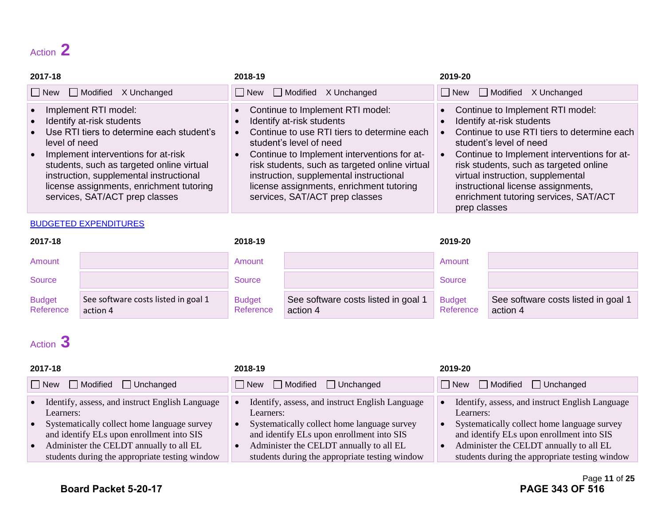## Action **2**

| 2017-18                                                                                                                                                                                                                                                                                                                                   | 2018-19                                                                                                                                                                                                                                                                                                                                                               | 2019-20                                                                                                                                                                                                                                                                                                                                                              |
|-------------------------------------------------------------------------------------------------------------------------------------------------------------------------------------------------------------------------------------------------------------------------------------------------------------------------------------------|-----------------------------------------------------------------------------------------------------------------------------------------------------------------------------------------------------------------------------------------------------------------------------------------------------------------------------------------------------------------------|----------------------------------------------------------------------------------------------------------------------------------------------------------------------------------------------------------------------------------------------------------------------------------------------------------------------------------------------------------------------|
| New Modified X Unchanged                                                                                                                                                                                                                                                                                                                  | $\Box$ New $\Box$ Modified X Unchanged                                                                                                                                                                                                                                                                                                                                | $\Box$ New $\Box$ Modified X Unchanged                                                                                                                                                                                                                                                                                                                               |
| Implement RTI model:<br>Identify at-risk students<br>Use RTI tiers to determine each student's<br>level of need<br>Implement interventions for at-risk<br>$\bullet$<br>students, such as targeted online virtual<br>instruction, supplemental instructional<br>license assignments, enrichment tutoring<br>services, SAT/ACT prep classes | • Continue to Implement RTI model:<br>Identify at-risk students<br>Continue to use RTI tiers to determine each<br>student's level of need<br>• Continue to Implement interventions for at-<br>risk students, such as targeted online virtual<br>instruction, supplemental instructional<br>license assignments, enrichment tutoring<br>services, SAT/ACT prep classes | Continue to Implement RTI model:<br>Identify at-risk students<br>Continue to use RTI tiers to determine each<br>student's level of need<br>Continue to Implement interventions for at-<br>risk students, such as targeted online<br>virtual instruction, supplemental<br>instructional license assignments,<br>enrichment tutoring services, SAT/ACT<br>prep classes |

#### BUDGETED EXPENDITURES

| 2017-18                    |                                                 | 2018-19                    |                                               | 2019-20                    |                                                 |
|----------------------------|-------------------------------------------------|----------------------------|-----------------------------------------------|----------------------------|-------------------------------------------------|
| Amount                     |                                                 | Amount                     |                                               | Amount                     |                                                 |
| Source                     |                                                 | Source                     |                                               | Source                     |                                                 |
| <b>Budget</b><br>Reference | See software costs listed in goal 1<br>action 4 | <b>Budget</b><br>Reference | See software costs listed in goal<br>action 4 | <b>Budget</b><br>Reference | See software costs listed in goal 1<br>action 4 |

## Action **3**

| 2017-18                                                                                                                                                                                                                                               | 2018-19                                                                                                                                                                                                                                               | 2019-20                                                                                                                                                                                                                                               |  |
|-------------------------------------------------------------------------------------------------------------------------------------------------------------------------------------------------------------------------------------------------------|-------------------------------------------------------------------------------------------------------------------------------------------------------------------------------------------------------------------------------------------------------|-------------------------------------------------------------------------------------------------------------------------------------------------------------------------------------------------------------------------------------------------------|--|
| $\Box$ New<br>$\Box$ Modified<br>$\Box$ Unchanged                                                                                                                                                                                                     | $\Box$ Modified $\Box$ Unchanged<br>$\Box$ New                                                                                                                                                                                                        | $\Box$ New $\Box$ Modified<br>$\Box$ Unchanged                                                                                                                                                                                                        |  |
| Identify, assess, and instruct English Language<br>Learners:<br>Systematically collect home language survey<br>and identify ELs upon enrollment into SIS<br>Administer the CELDT annually to all EL<br>students during the appropriate testing window | Identify, assess, and instruct English Language<br>Learners:<br>Systematically collect home language survey<br>and identify ELs upon enrollment into SIS<br>Administer the CELDT annually to all EL<br>students during the appropriate testing window | Identify, assess, and instruct English Language<br>Learners:<br>Systematically collect home language survey<br>and identify ELs upon enrollment into SIS<br>Administer the CELDT annually to all EL<br>students during the appropriate testing window |  |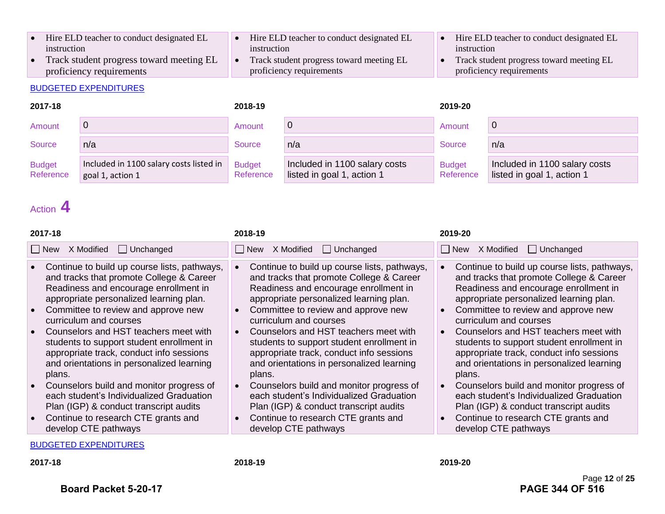- Hire ELD teacher to conduct designated EL instruction
- Track student progress toward meeting EL proficiency requirements

#### BUDGETED EXPENDITURES

#### • Hire ELD teacher to conduct designated EL instruction

- Track student progress toward meeting EL proficiency requirements
- Hire ELD teacher to conduct designated EL instruction
- Track student progress toward meeting EL proficiency requirements

| 2017-18                    |                                                             | 2018-19                    |                                                             | 2019-20                    |                                                             |
|----------------------------|-------------------------------------------------------------|----------------------------|-------------------------------------------------------------|----------------------------|-------------------------------------------------------------|
| Amount                     |                                                             | Amount                     | U                                                           | Amount                     |                                                             |
| Source                     | n/a                                                         | Source                     | n/a                                                         | Source                     | n/a                                                         |
| <b>Budget</b><br>Reference | Included in 1100 salary costs listed in<br>goal 1, action 1 | <b>Budget</b><br>Reference | Included in 1100 salary costs<br>listed in goal 1, action 1 | <b>Budget</b><br>Reference | Included in 1100 salary costs<br>listed in goal 1, action 1 |

## Action **4**

| 2017-18                                                                                                                                                                                                                                                                                                                                                                                                                                                                                                                                                                                                                                                                            | 2018-19                                                                                                                                                                                                                                                                                                                                                                                                                                                                                                                                                                                                                                                                        | 2019-20                                                                                                                                                                                                                                                                                                                                                                                                                                                                                                                                                                                                                                 |
|------------------------------------------------------------------------------------------------------------------------------------------------------------------------------------------------------------------------------------------------------------------------------------------------------------------------------------------------------------------------------------------------------------------------------------------------------------------------------------------------------------------------------------------------------------------------------------------------------------------------------------------------------------------------------------|--------------------------------------------------------------------------------------------------------------------------------------------------------------------------------------------------------------------------------------------------------------------------------------------------------------------------------------------------------------------------------------------------------------------------------------------------------------------------------------------------------------------------------------------------------------------------------------------------------------------------------------------------------------------------------|-----------------------------------------------------------------------------------------------------------------------------------------------------------------------------------------------------------------------------------------------------------------------------------------------------------------------------------------------------------------------------------------------------------------------------------------------------------------------------------------------------------------------------------------------------------------------------------------------------------------------------------------|
| X Modified<br>$\Box$ Unchanged<br>    New                                                                                                                                                                                                                                                                                                                                                                                                                                                                                                                                                                                                                                          | X Modified<br>$\Box$ Unchanged<br>l I New                                                                                                                                                                                                                                                                                                                                                                                                                                                                                                                                                                                                                                      | □ New X Modified<br>$\Box$ Unchanged                                                                                                                                                                                                                                                                                                                                                                                                                                                                                                                                                                                                    |
| • Continue to build up course lists, pathways,<br>and tracks that promote College & Career<br>Readiness and encourage enrollment in<br>appropriate personalized learning plan.<br>Committee to review and approve new<br>$\bullet$<br>curriculum and courses<br>Counselors and HST teachers meet with<br>$\bullet$<br>students to support student enrollment in<br>appropriate track, conduct info sessions<br>and orientations in personalized learning<br>plans.<br>Counselors build and monitor progress of<br>$\bullet$<br>each student's Individualized Graduation<br>Plan (IGP) & conduct transcript audits<br>• Continue to research CTE grants and<br>develop CTE pathways | Continue to build up course lists, pathways,<br>and tracks that promote College & Career<br>Readiness and encourage enrollment in<br>appropriate personalized learning plan.<br>Committee to review and approve new<br>$\bullet$<br>curriculum and courses<br>Counselors and HST teachers meet with<br>$\bullet$<br>students to support student enrollment in<br>appropriate track, conduct info sessions<br>and orientations in personalized learning<br>plans.<br>Counselors build and monitor progress of<br>each student's Individualized Graduation<br>Plan (IGP) & conduct transcript audits<br>Continue to research CTE grants and<br>$\bullet$<br>develop CTE pathways | Continue to build up course lists, pathways,<br>and tracks that promote College & Career<br>Readiness and encourage enrollment in<br>appropriate personalized learning plan.<br>Committee to review and approve new<br>curriculum and courses<br>Counselors and HST teachers meet with<br>students to support student enrollment in<br>appropriate track, conduct info sessions<br>and orientations in personalized learning<br>plans.<br>Counselors build and monitor progress of<br>each student's Individualized Graduation<br>Plan (IGP) & conduct transcript audits<br>Continue to research CTE grants and<br>develop CTE pathways |
|                                                                                                                                                                                                                                                                                                                                                                                                                                                                                                                                                                                                                                                                                    |                                                                                                                                                                                                                                                                                                                                                                                                                                                                                                                                                                                                                                                                                |                                                                                                                                                                                                                                                                                                                                                                                                                                                                                                                                                                                                                                         |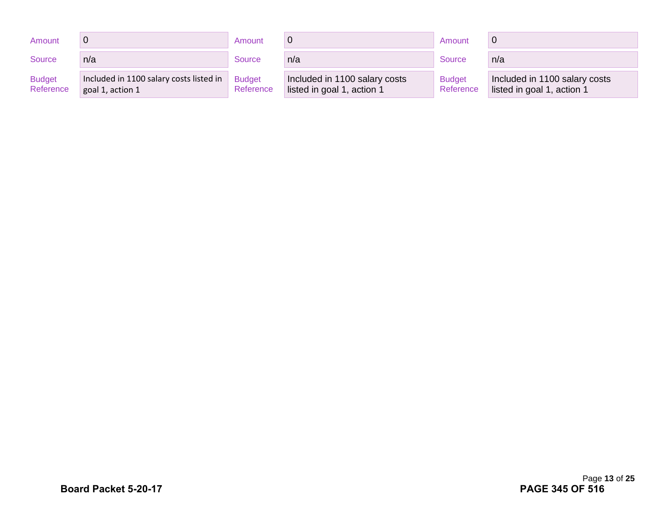| Amount                     |                                                             | Amount                     |                                                             | Amount                     |                                                             |
|----------------------------|-------------------------------------------------------------|----------------------------|-------------------------------------------------------------|----------------------------|-------------------------------------------------------------|
| Source                     | n/a                                                         | Source                     | n/a                                                         | Source                     | n/a                                                         |
| <b>Budget</b><br>Reference | Included in 1100 salary costs listed in<br>goal 1, action 1 | <b>Budget</b><br>Reference | Included in 1100 salary costs<br>listed in goal 1, action 1 | <b>Budget</b><br>Reference | Included in 1100 salary costs<br>listed in goal 1, action 1 |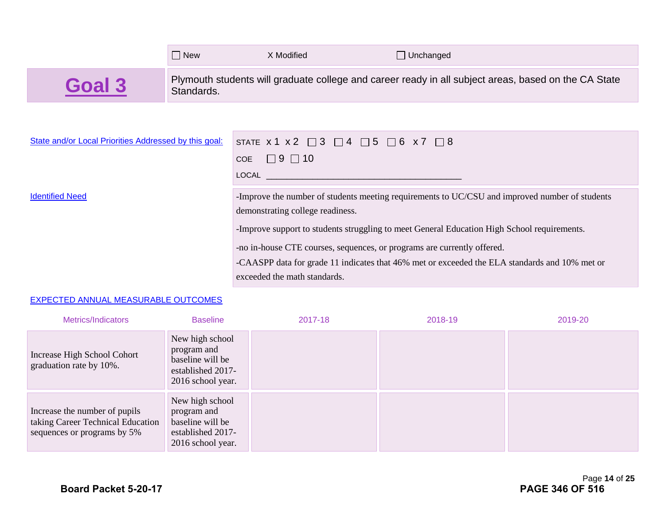|                                                       | $\Box$ New | X Modified                                                                                                    | $\Box$ Unchanged                                                                                     |  |
|-------------------------------------------------------|------------|---------------------------------------------------------------------------------------------------------------|------------------------------------------------------------------------------------------------------|--|
| Goal 3                                                | Standards. |                                                                                                               | Plymouth students will graduate college and career ready in all subject areas, based on the CA State |  |
|                                                       |            |                                                                                                               |                                                                                                      |  |
| State and/or Local Priorities Addressed by this goal: |            |                                                                                                               | STATE $x1 x2 \square 3 \square 4 \square 5 \square 6 x7 \square 8$                                   |  |
|                                                       |            | $COE$ $\Box$ 9 $\Box$ 10                                                                                      |                                                                                                      |  |
|                                                       |            | LOCAL And the contract of the contract of the contract of the contract of the contract of the contract of the |                                                                                                      |  |

Identified Need -Improve the number of students meeting requirements to UC/CSU and improved number of students demonstrating college readiness.

-Improve support to students struggling to meet General Education High School requirements.

-no in-house CTE courses, sequences, or programs are currently offered.

-CAASPP data for grade 11 indicates that 46% met or exceeded the ELA standards and 10% met or exceeded the math standards.

#### EXPECTED ANNUAL MEASURABLE OUTCOMES

| Metrics/Indicators                                                                                | <b>Baseline</b>                                                                              | 2017-18 | 2018-19 | 2019-20 |
|---------------------------------------------------------------------------------------------------|----------------------------------------------------------------------------------------------|---------|---------|---------|
| Increase High School Cohort<br>graduation rate by 10%.                                            | New high school<br>program and<br>baseline will be<br>established 2017-<br>2016 school year. |         |         |         |
| Increase the number of pupils<br>taking Career Technical Education<br>sequences or programs by 5% | New high school<br>program and<br>baseline will be<br>established 2017-<br>2016 school year. |         |         |         |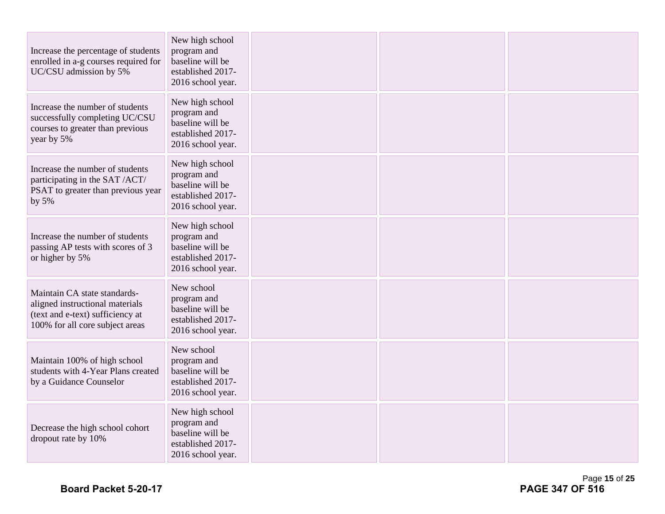| Increase the percentage of students<br>enrolled in a-g courses required for<br>UC/CSU admission by 5%                                  | New high school<br>program and<br>baseline will be<br>established 2017-<br>2016 school year. |  |  |
|----------------------------------------------------------------------------------------------------------------------------------------|----------------------------------------------------------------------------------------------|--|--|
| Increase the number of students<br>successfully completing UC/CSU<br>courses to greater than previous<br>year by 5%                    | New high school<br>program and<br>baseline will be<br>established 2017-<br>2016 school year. |  |  |
| Increase the number of students<br>participating in the SAT /ACT/<br>PSAT to greater than previous year<br>by $5%$                     | New high school<br>program and<br>baseline will be<br>established 2017-<br>2016 school year. |  |  |
| Increase the number of students<br>passing AP tests with scores of 3<br>or higher by 5%                                                | New high school<br>program and<br>baseline will be<br>established 2017-<br>2016 school year. |  |  |
| Maintain CA state standards-<br>aligned instructional materials<br>(text and e-text) sufficiency at<br>100% for all core subject areas | New school<br>program and<br>baseline will be<br>established 2017-<br>2016 school year.      |  |  |
| Maintain 100% of high school<br>students with 4-Year Plans created<br>by a Guidance Counselor                                          | New school<br>program and<br>baseline will be<br>established 2017-<br>2016 school year.      |  |  |
| Decrease the high school cohort<br>dropout rate by 10%                                                                                 | New high school<br>program and<br>baseline will be<br>established 2017-<br>2016 school year. |  |  |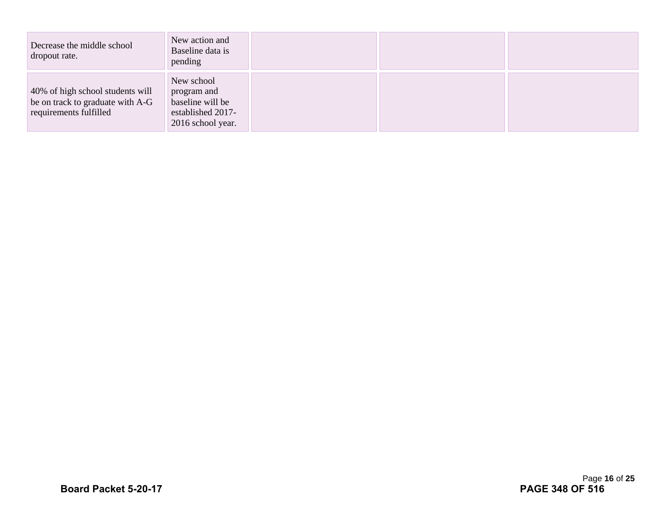| Decrease the middle school<br>dropout rate.                                                    | New action and<br>Baseline data is<br>pending                                           |  |  |
|------------------------------------------------------------------------------------------------|-----------------------------------------------------------------------------------------|--|--|
| 40% of high school students will<br>be on track to graduate with A-G<br>requirements fulfilled | New school<br>program and<br>baseline will be<br>established 2017-<br>2016 school year. |  |  |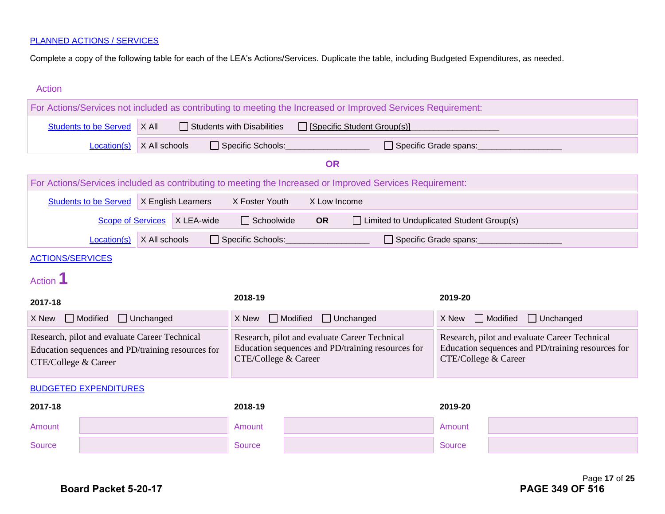Complete a copy of the following table for each of the LEA's Actions/Services. Duplicate the table, including Budgeted Expenditures, as needed.

| <b>Action</b>                                                                                                              |                                                                                                          |                  |                                                                                                                            |                   |                 |                                                                                                                            |                         |                                     |
|----------------------------------------------------------------------------------------------------------------------------|----------------------------------------------------------------------------------------------------------|------------------|----------------------------------------------------------------------------------------------------------------------------|-------------------|-----------------|----------------------------------------------------------------------------------------------------------------------------|-------------------------|-------------------------------------|
|                                                                                                                            |                                                                                                          |                  |                                                                                                                            |                   |                 | For Actions/Services not included as contributing to meeting the Increased or Improved Services Requirement:               |                         |                                     |
|                                                                                                                            | X All<br><b>Students to be Served</b><br>$\Box$ Students with Disabilities<br>Specific Student Group(s)] |                  |                                                                                                                            |                   |                 |                                                                                                                            |                         |                                     |
|                                                                                                                            | Location(s)                                                                                              | X All schools    |                                                                                                                            | Specific Schools: |                 |                                                                                                                            | □ Specific Grade spans: |                                     |
|                                                                                                                            |                                                                                                          |                  |                                                                                                                            |                   | <b>OR</b>       |                                                                                                                            |                         |                                     |
|                                                                                                                            |                                                                                                          |                  |                                                                                                                            |                   |                 | For Actions/Services included as contributing to meeting the Increased or Improved Services Requirement:                   |                         |                                     |
|                                                                                                                            | Students to be Served   X English Learners                                                               |                  |                                                                                                                            | X Foster Youth    |                 | X Low Income                                                                                                               |                         |                                     |
|                                                                                                                            | <b>Scope of Services</b>                                                                                 |                  | X LEA-wide                                                                                                                 | $\Box$ Schoolwide | <b>OR</b>       | □ Limited to Unduplicated Student Group(s)                                                                                 |                         |                                     |
|                                                                                                                            | Location(s)                                                                                              | X All schools    |                                                                                                                            | Specific Schools: |                 |                                                                                                                            | □ Specific Grade spans: |                                     |
| <b>ACTIONS/SERVICES</b>                                                                                                    |                                                                                                          |                  |                                                                                                                            |                   |                 |                                                                                                                            |                         |                                     |
| Action <sup>1</sup>                                                                                                        |                                                                                                          |                  |                                                                                                                            |                   |                 |                                                                                                                            |                         |                                     |
| 2017-18                                                                                                                    |                                                                                                          |                  |                                                                                                                            | 2018-19           |                 |                                                                                                                            | 2019-20                 |                                     |
| X New                                                                                                                      | $\Box$ Modified                                                                                          | $\Box$ Unchanged |                                                                                                                            | X New             | $\Box$ Modified | $\Box$ Unchanged                                                                                                           | X New                   | $\Box$ Modified<br>$\Box$ Unchanged |
| Research, pilot and evaluate Career Technical<br>Education sequences and PD/training resources for<br>CTE/College & Career |                                                                                                          |                  | Research, pilot and evaluate Career Technical<br>Education sequences and PD/training resources for<br>CTE/College & Career |                   |                 | Research, pilot and evaluate Career Technical<br>Education sequences and PD/training resources for<br>CTE/College & Career |                         |                                     |
|                                                                                                                            | <b>BUDGETED EXPENDITURES</b>                                                                             |                  |                                                                                                                            |                   |                 |                                                                                                                            |                         |                                     |
| 2017-18                                                                                                                    |                                                                                                          |                  |                                                                                                                            | 2018-19           |                 |                                                                                                                            | 2019-20                 |                                     |
| Amount                                                                                                                     |                                                                                                          |                  |                                                                                                                            | Amount            |                 |                                                                                                                            | Amount                  |                                     |
| <b>Source</b>                                                                                                              |                                                                                                          |                  |                                                                                                                            | <b>Source</b>     |                 |                                                                                                                            | <b>Source</b>           |                                     |
|                                                                                                                            |                                                                                                          |                  |                                                                                                                            |                   |                 |                                                                                                                            |                         |                                     |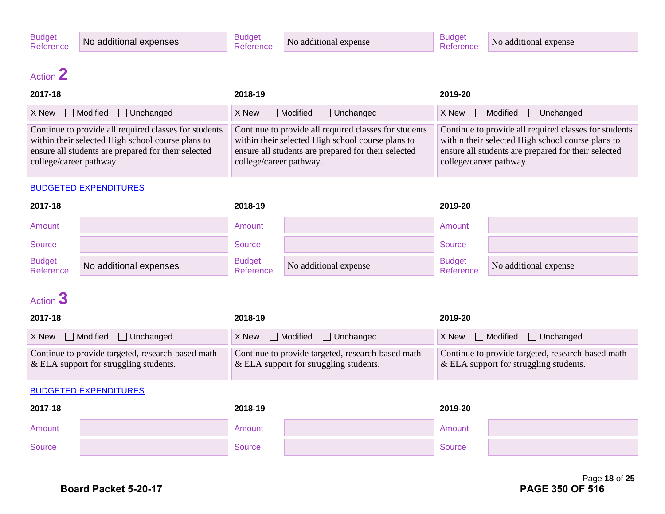No additional expense

## Action **2**

| 2017-18                                                                                                                                                                                      | 2018-19                                                                                                                                                                                      | 2019-20                                                                                                                                                                                      |
|----------------------------------------------------------------------------------------------------------------------------------------------------------------------------------------------|----------------------------------------------------------------------------------------------------------------------------------------------------------------------------------------------|----------------------------------------------------------------------------------------------------------------------------------------------------------------------------------------------|
| $X$ New $\Box$ Modified $\Box$ Unchanged                                                                                                                                                     | $X$ New $\Box$ Modified $\Box$ Unchanged                                                                                                                                                     | $X$ New $\Box$ Modified $\Box$ Unchanged                                                                                                                                                     |
| Continue to provide all required classes for students<br>within their selected High school course plans to<br>ensure all students are prepared for their selected<br>college/career pathway. | Continue to provide all required classes for students<br>within their selected High school course plans to<br>ensure all students are prepared for their selected<br>college/career pathway. | Continue to provide all required classes for students<br>within their selected High school course plans to<br>ensure all students are prepared for their selected<br>college/career pathway. |

#### BUDGETED EXPENDITURES

| 2017-18                    |                        | 2018-19                    |                       | 2019-20                    |                       |
|----------------------------|------------------------|----------------------------|-----------------------|----------------------------|-----------------------|
| Amount                     |                        | Amount                     |                       | Amount                     |                       |
| Source                     |                        | <b>Source</b>              |                       | <b>Source</b>              |                       |
| <b>Budget</b><br>Reference | No additional expenses | <b>Budget</b><br>Reference | No additional expense | <b>Budget</b><br>Reference | No additional expense |

## Action **3**

| 2017-18                                                                                        | 2018-19                                                                                       | 2019-20                                                                                        |
|------------------------------------------------------------------------------------------------|-----------------------------------------------------------------------------------------------|------------------------------------------------------------------------------------------------|
| $X$ New $\Box$ Modified $\Box$ Unchanged                                                       | $X$ New $\Box$ Modified $\Box$ Unchanged                                                      | $X$ New $\Box$ Modified $\Box$ Unchanged                                                       |
| Continue to provide targeted, research-based math<br>$\&$ ELA support for struggling students. | Continue to provide targeted, research-based math<br>$&$ ELA support for struggling students. | Continue to provide targeted, research-based math<br>$\&$ ELA support for struggling students. |

| 2017-18 | 2018-19 | 2019-20 |  |
|---------|---------|---------|--|
| Amount  | Amount  | Amount  |  |
| Source  | Source  | Source  |  |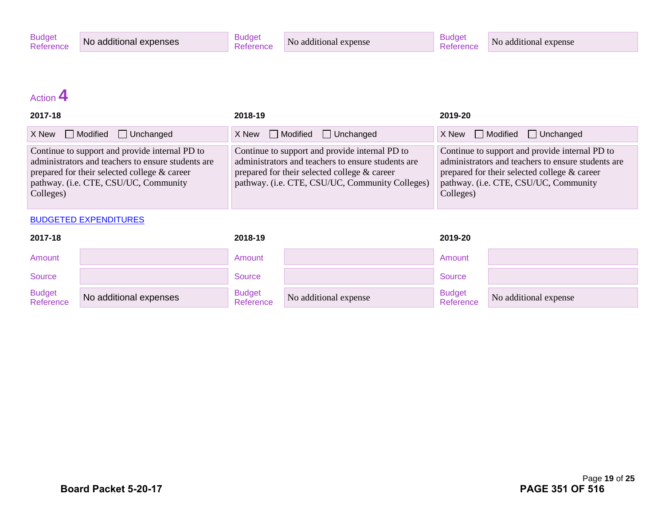## Action **4**

| 2017-18                                                                                                                                                                                                    | 2018-19                                                                                                                                                                                                 | 2019-20                                                                                                                                                                                                    |
|------------------------------------------------------------------------------------------------------------------------------------------------------------------------------------------------------------|---------------------------------------------------------------------------------------------------------------------------------------------------------------------------------------------------------|------------------------------------------------------------------------------------------------------------------------------------------------------------------------------------------------------------|
| Modified<br>$\Box$ Unchanged<br>X New                                                                                                                                                                      | $X$ New $\Box$ Modified $\Box$ Unchanged                                                                                                                                                                | $X$ New $\Box$ Modified $\Box$ Unchanged                                                                                                                                                                   |
| Continue to support and provide internal PD to<br>administrators and teachers to ensure students are<br>prepared for their selected college & career<br>pathway. (i.e. CTE, CSU/UC, Community<br>Colleges) | Continue to support and provide internal PD to<br>administrators and teachers to ensure students are<br>prepared for their selected college & career<br>pathway. (i.e. CTE, CSU/UC, Community Colleges) | Continue to support and provide internal PD to<br>administrators and teachers to ensure students are<br>prepared for their selected college & career<br>pathway. (i.e. CTE, CSU/UC, Community<br>Colleges) |

| 2017-18                    |                        | 2018-19                    |                       | 2019-20                    |                       |
|----------------------------|------------------------|----------------------------|-----------------------|----------------------------|-----------------------|
| Amount                     |                        | Amount                     |                       | Amount                     |                       |
| Source                     |                        | Source                     |                       | Source                     |                       |
| <b>Budget</b><br>Reference | No additional expenses | <b>Budget</b><br>Reference | No additional expense | <b>Budget</b><br>Reference | No additional expense |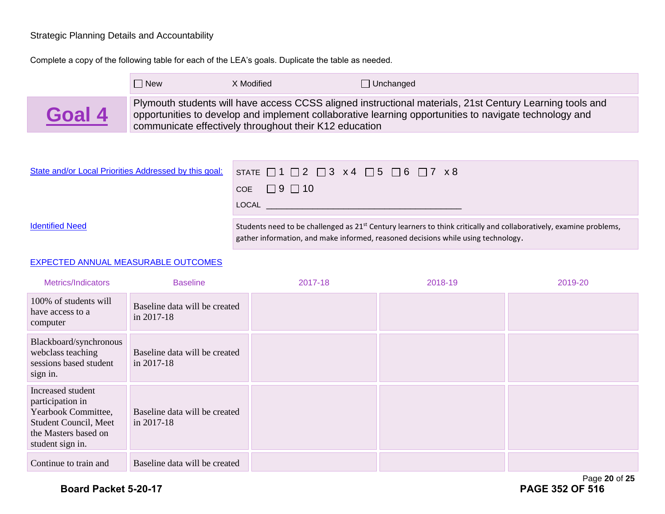#### Strategic Planning Details and Accountability

Complete a copy of the following table for each of the LEA's goals. Duplicate the table as needed.

|        | $\Box$ New | X Modified                                             | $\Box$ Unchanged                                                                                                                                                                                                   |
|--------|------------|--------------------------------------------------------|--------------------------------------------------------------------------------------------------------------------------------------------------------------------------------------------------------------------|
| Goal 4 |            | communicate effectively throughout their K12 education | Plymouth students will have access CCSS aligned instructional materials, 21st Century Learning tools and<br>opportunities to develop and implement collaborative learning opportunities to navigate technology and |

| State and/or Local Priorities Addressed by this goal: | STATE $\Box$ 1 $\Box$ 2 $\Box$ 3 x 4 $\Box$ 5 $\Box$ 6 $\Box$ 7 x 8                                                                                                                                                 |
|-------------------------------------------------------|---------------------------------------------------------------------------------------------------------------------------------------------------------------------------------------------------------------------|
|                                                       | COE $\Box$ 9 $\Box$ 10                                                                                                                                                                                              |
|                                                       | LOCAL                                                                                                                                                                                                               |
| <b>Identified Need</b>                                | Students need to be challenged as 21 <sup>st</sup> Century learners to think critically and collaboratively, examine problems,<br>gather information, and make informed, reasoned decisions while using technology. |

#### EXPECTED ANNUAL MEASURABLE OUTCOMES

| Metrics/Indicators                                                                                                                | <b>Baseline</b>                                 | 2017-18 | 2018-19 | 2019-20 |
|-----------------------------------------------------------------------------------------------------------------------------------|-------------------------------------------------|---------|---------|---------|
| 100% of students will<br>have access to a<br>computer                                                                             | Baseline data will be created<br>in 2017-18     |         |         |         |
| Blackboard/synchronous<br>webclass teaching<br>sessions based student<br>sign in.                                                 | Baseline data will be created<br>in $2017 - 18$ |         |         |         |
| Increased student<br>participation in<br>Yearbook Committee,<br>Student Council, Meet<br>the Masters based on<br>student sign in. | Baseline data will be created<br>in 2017-18     |         |         |         |
| Continue to train and                                                                                                             | Baseline data will be created                   |         |         |         |

Page **20** of **25**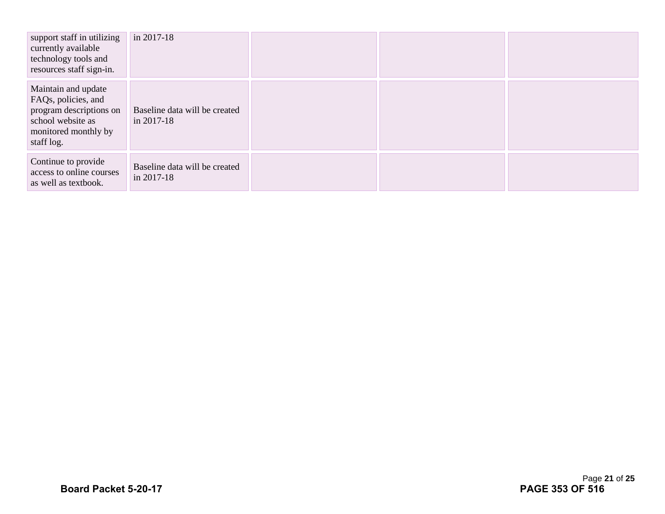| support staff in utilizing<br>currently available<br>technology tools and<br>resources staff sign-in.                            | in 2017-18                                  |  |  |
|----------------------------------------------------------------------------------------------------------------------------------|---------------------------------------------|--|--|
| Maintain and update<br>FAQs, policies, and<br>program descriptions on<br>school website as<br>monitored monthly by<br>staff log. | Baseline data will be created<br>in 2017-18 |  |  |
| Continue to provide<br>access to online courses<br>as well as textbook.                                                          | Baseline data will be created<br>in 2017-18 |  |  |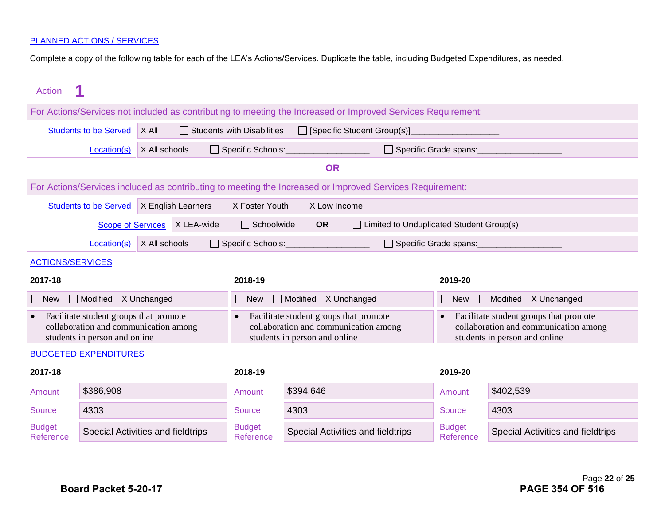Complete a copy of the following table for each of the LEA's Actions/Services. Duplicate the table, including Budgeted Expenditures, as needed.

| Action                                                                                                                        |                                                                                                           |               |                                                                                                                  |                            |                                                                                                                  |                                                                                                              |                            |                                   |
|-------------------------------------------------------------------------------------------------------------------------------|-----------------------------------------------------------------------------------------------------------|---------------|------------------------------------------------------------------------------------------------------------------|----------------------------|------------------------------------------------------------------------------------------------------------------|--------------------------------------------------------------------------------------------------------------|----------------------------|-----------------------------------|
|                                                                                                                               |                                                                                                           |               |                                                                                                                  |                            |                                                                                                                  | For Actions/Services not included as contributing to meeting the Increased or Improved Services Requirement: |                            |                                   |
|                                                                                                                               | X All<br>[Specific Student Group(s)]<br><b>Students to be Served</b><br>$\Box$ Students with Disabilities |               |                                                                                                                  |                            |                                                                                                                  |                                                                                                              |                            |                                   |
|                                                                                                                               | Location(s)                                                                                               | X All schools |                                                                                                                  | $\Box$ Specific Schools:   |                                                                                                                  | $\Box$ Specific Grade spans:                                                                                 |                            |                                   |
|                                                                                                                               |                                                                                                           |               |                                                                                                                  |                            | <b>OR</b>                                                                                                        |                                                                                                              |                            |                                   |
|                                                                                                                               |                                                                                                           |               |                                                                                                                  |                            |                                                                                                                  | For Actions/Services included as contributing to meeting the Increased or Improved Services Requirement:     |                            |                                   |
|                                                                                                                               | <b>Students to be Served</b>                                                                              |               | X English Learners                                                                                               | X Foster Youth             | X Low Income                                                                                                     |                                                                                                              |                            |                                   |
|                                                                                                                               | <b>Scope of Services</b>                                                                                  |               | X LEA-wide                                                                                                       | $\Box$ Schoolwide          | <b>OR</b>                                                                                                        | □ Limited to Unduplicated Student Group(s)                                                                   |                            |                                   |
|                                                                                                                               | Location(s)                                                                                               | X All schools |                                                                                                                  | Specific Schools:          |                                                                                                                  | □ Specific Grade spans:                                                                                      |                            |                                   |
| <b>ACTIONS/SERVICES</b>                                                                                                       |                                                                                                           |               |                                                                                                                  |                            |                                                                                                                  |                                                                                                              |                            |                                   |
| 2017-18                                                                                                                       |                                                                                                           |               |                                                                                                                  | 2018-19                    |                                                                                                                  |                                                                                                              | 2019-20                    |                                   |
| New                                                                                                                           | Modified X Unchanged                                                                                      |               |                                                                                                                  | New                        | Modified X Unchanged                                                                                             |                                                                                                              | $\Box$ New                 | Modified X Unchanged              |
| Facilitate student groups that promote<br>$\bullet$<br>collaboration and communication among<br>students in person and online |                                                                                                           |               | Facilitate student groups that promote<br>collaboration and communication among<br>students in person and online |                            | Facilitate student groups that promote<br>collaboration and communication among<br>students in person and online |                                                                                                              |                            |                                   |
|                                                                                                                               | <b>BUDGETED EXPENDITURES</b>                                                                              |               |                                                                                                                  |                            |                                                                                                                  |                                                                                                              |                            |                                   |
| 2017-18                                                                                                                       |                                                                                                           |               | 2018-19                                                                                                          |                            |                                                                                                                  | 2019-20                                                                                                      |                            |                                   |
| Amount                                                                                                                        | \$386,908                                                                                                 |               |                                                                                                                  | Amount                     | \$394,646                                                                                                        |                                                                                                              | Amount                     | \$402,539                         |
| <b>Source</b>                                                                                                                 | 4303                                                                                                      |               |                                                                                                                  | <b>Source</b>              | 4303                                                                                                             |                                                                                                              | <b>Source</b>              | 4303                              |
| <b>Budget</b><br>Reference                                                                                                    | Special Activities and fieldtrips                                                                         |               |                                                                                                                  | <b>Budget</b><br>Reference |                                                                                                                  | Special Activities and fieldtrips                                                                            | <b>Budget</b><br>Reference | Special Activities and fieldtrips |
|                                                                                                                               |                                                                                                           |               |                                                                                                                  |                            |                                                                                                                  |                                                                                                              |                            |                                   |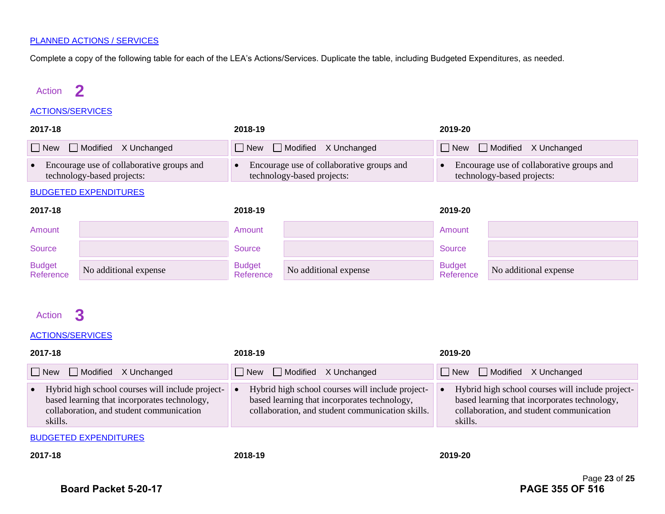Complete a copy of the following table for each of the LEA's Actions/Services. Duplicate the table, including Budgeted Expenditures, as needed.

### Action **2**

#### ACTIONS/SERVICES

| 2017-18                                                                 |                          | 2018-19                                                                 | 2019-20                                                                 |  |
|-------------------------------------------------------------------------|--------------------------|-------------------------------------------------------------------------|-------------------------------------------------------------------------|--|
|                                                                         | New Modified X Unchanged | $\Box$ New $\Box$ Modified X Unchanged                                  | <b>New</b> Modified X Unchanged                                         |  |
| Encourage use of collaborative groups and<br>technology-based projects: |                          | Encourage use of collaborative groups and<br>technology-based projects: | Encourage use of collaborative groups and<br>technology-based projects: |  |

#### BUDGETED EXPENDITURES

| 2017-18                    |                       | 2018-19                    |                       | 2019-20                    |                       |
|----------------------------|-----------------------|----------------------------|-----------------------|----------------------------|-----------------------|
| Amount                     |                       | Amount                     |                       | Amount                     |                       |
| Source                     |                       | Source                     |                       | Source                     |                       |
| <b>Budget</b><br>Reference | No additional expense | <b>Budget</b><br>Reference | No additional expense | <b>Budget</b><br>Reference | No additional expense |

### Action **3**

#### ACTIONS/SERVICES

| 2017-18                                                                                                                                                              | 2018-19                                                                                                                                              | 2019-20                                                                                                                                                 |  |  |  |
|----------------------------------------------------------------------------------------------------------------------------------------------------------------------|------------------------------------------------------------------------------------------------------------------------------------------------------|---------------------------------------------------------------------------------------------------------------------------------------------------------|--|--|--|
| New Modified X Unchanged                                                                                                                                             | $\Box$ New $\Box$ Modified X Unchanged                                                                                                               | New Modified X Unchanged                                                                                                                                |  |  |  |
| Hybrid high school courses will include project-<br>$\bullet$<br>based learning that incorporates technology,<br>collaboration, and student communication<br>skills. | Hybrid high school courses will include project-<br>based learning that incorporates technology,<br>collaboration, and student communication skills. | Hybrid high school courses will include project-<br>based learning that incorporates technology,<br>collaboration, and student communication<br>skills. |  |  |  |
| <b>BUDGETED EXPENDITURES</b>                                                                                                                                         |                                                                                                                                                      |                                                                                                                                                         |  |  |  |

**2017-18 2018-19 2019-20**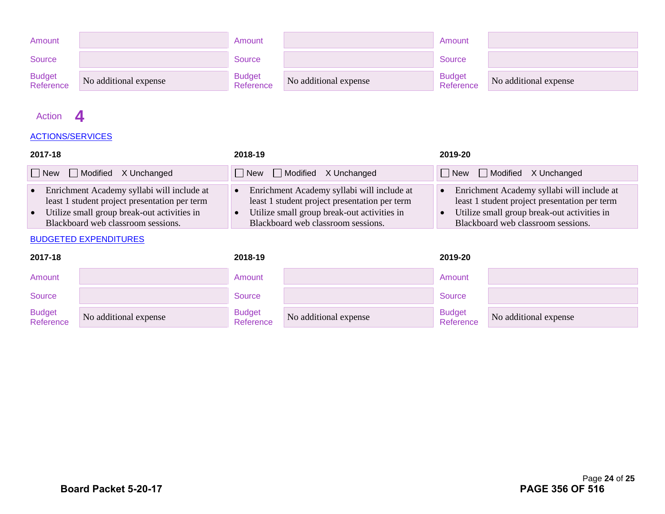| Amount                     |                       | Amount                     |                       | Amount                     |                       |
|----------------------------|-----------------------|----------------------------|-----------------------|----------------------------|-----------------------|
| <b>Source</b>              |                       | <b>Source</b>              |                       | Source                     |                       |
| <b>Budget</b><br>Reference | No additional expense | <b>Budget</b><br>Reference | No additional expense | <b>Budget</b><br>Reference | No additional expense |

### Action **4**

#### ACTIONS/SERVICES

| 2017-18                                                                                                                                                                              | 2018-19                                                                                                                                                                          | 2019-20                                                                                                                                                                          |  |
|--------------------------------------------------------------------------------------------------------------------------------------------------------------------------------------|----------------------------------------------------------------------------------------------------------------------------------------------------------------------------------|----------------------------------------------------------------------------------------------------------------------------------------------------------------------------------|--|
| $\Box$ New $\Box$ Modified X Unchanged                                                                                                                                               | $\Box$ New $\Box$ Modified X Unchanged                                                                                                                                           | $\Box$ New $\Box$ Modified X Unchanged                                                                                                                                           |  |
| • Enrichment Academy syllabi will include at<br>least 1 student project presentation per term<br>• Utilize small group break-out activities in<br>Blackboard web classroom sessions. | Enrichment Academy syllabi will include at<br>least 1 student project presentation per term<br>Utilize small group break-out activities in<br>Blackboard web classroom sessions. | Enrichment Academy syllabi will include at<br>least 1 student project presentation per term<br>Utilize small group break-out activities in<br>Blackboard web classroom sessions. |  |

| 2017-18                    |                       | 2018-19                    |                       | 2019-20                    |                       |
|----------------------------|-----------------------|----------------------------|-----------------------|----------------------------|-----------------------|
| Amount                     |                       | Amount                     |                       | Amount                     |                       |
| <b>Source</b>              |                       | Source                     |                       | Source                     |                       |
| <b>Budget</b><br>Reference | No additional expense | <b>Budget</b><br>Reference | No additional expense | <b>Budget</b><br>Reference | No additional expense |